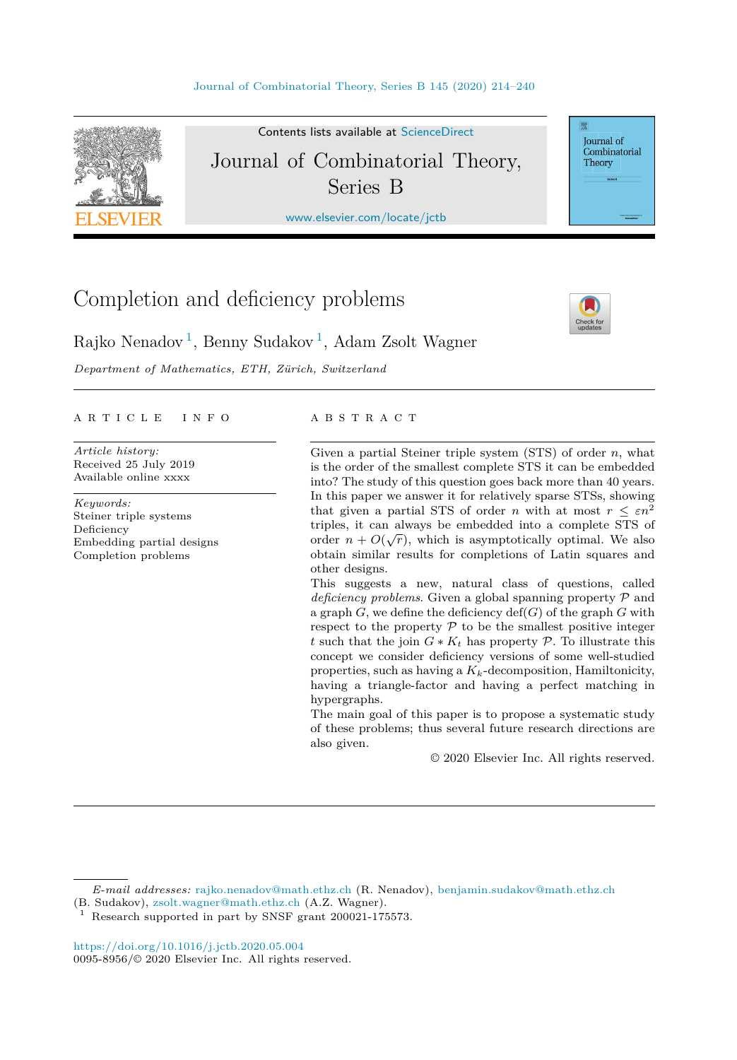

Contents lists available at [ScienceDirect](http://www.ScienceDirect.com/) Journal of Combinatorial Theory, Series B

[www.elsevier.com/locate/jctb](http://www.elsevier.com/locate/jctb)

# Completion and deficiency problems



Journal of Combinatorial Theory

Rajko Nenadov<sup>1</sup>, Benny Sudakov<sup>1</sup>, Adam Zsolt Wagner

*Department of Mathematics, ETH, Zürich, Switzerland*

#### A R T I C L E I N F O A B S T R A C T

*Article history:* Received 25 July 2019 Available online xxxx

*Keywords:* Steiner triple systems Deficiency Embedding partial designs Completion problems

Given a partial Steiner triple system (STS) of order *n*, what is the order of the smallest complete STS it can be embedded into? The study of this question goes back more than 40 years. In this paper we answer it for relatively sparse STSs, showing that given a partial STS of order *n* with at most  $r \leq \varepsilon n^2$ triples, it can always be embedded into a complete STS of order  $n + O(\sqrt{r})$ , which is asymptotically optimal. We also obtain similar results for completions of Latin squares and other designs.

This suggests a new, natural class of questions, called *deficiency problems*. Given a global spanning property P and a graph  $G$ , we define the deficiency  $\text{def}(G)$  of the graph  $G$  with respect to the property  $P$  to be the smallest positive integer *t* such that the join  $G * K_t$  has property  $P$ . To illustrate this concept we consider deficiency versions of some well-studied properties, such as having a *Kk*-decomposition, Hamiltonicity, having a triangle-factor and having a perfect matching in hypergraphs.

The main goal of this paper is to propose a systematic study of these problems; thus several future research directions are also given.

© 2020 Elsevier Inc. All rights reserved.

*E-mail addresses:* [rajko.nenadov@math.ethz.ch](mailto:rajko.nenadov@math.ethz.ch) (R. Nenadov), [benjamin.sudakov@math.ethz.ch](mailto:benjamin.sudakov@math.ethz.ch)

<https://doi.org/10.1016/j.jctb.2020.05.004> 0095-8956/© 2020 Elsevier Inc. All rights reserved.

<sup>(</sup>B. Sudakov), [zsolt.wagner@math.ethz.ch](mailto:zsolt.wagner@math.ethz.ch) (A.Z. Wagner).

Research supported in part by SNSF grant 200021-175573.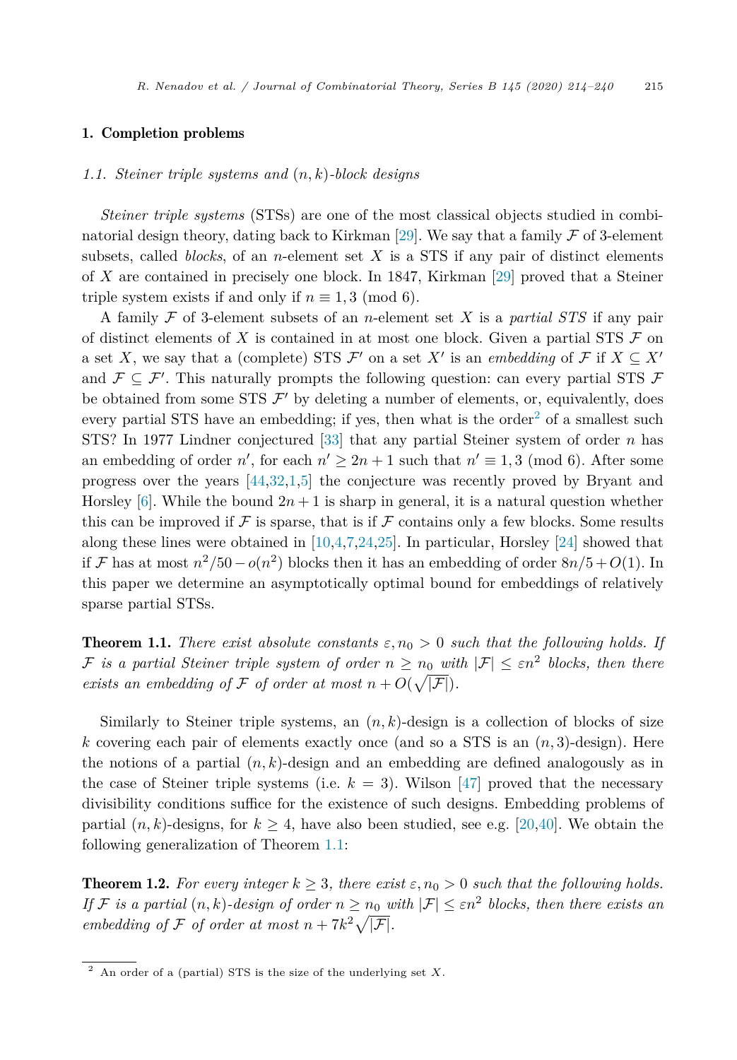# <span id="page-1-0"></span>1. Completion problems

#### *1.1. Steiner triple systems and* (*n, k*)*-block designs*

*Steiner triple systems* (STSs) are one of the most classical objects studied in combi-natorial design theory, dating back to Kirkman [[29\]](#page-26-0). We say that a family  $\mathcal F$  of 3-element subsets, called *blocks*, of an *n*-element set *X* is a STS if any pair of distinct elements of *X* are contained in precisely one block. In 1847, Kirkman [[29\]](#page-26-0) proved that a Steiner triple system exists if and only if  $n \equiv 1, 3 \pmod{6}$ .

A family F of 3-element subsets of an *n*-element set *X* is a *partial STS* if any pair of distinct elements of  $X$  is contained in at most one block. Given a partial STS  $\mathcal F$  on a set *X*, we say that a (complete) STS  $\mathcal{F}'$  on a set *X'* is an *embedding* of  $\mathcal{F}$  if  $X \subseteq X'$ and  $\mathcal{F} \subseteq \mathcal{F}'$ . This naturally prompts the following question: can every partial STS  $\mathcal{F}$ be obtained from some STS  $\mathcal{F}'$  by deleting a number of elements, or, equivalently, does every partial STS have an embedding; if yes, then what is the order<sup>2</sup> of a smallest such STS? In 1977 Lindner conjectured [[33\]](#page-26-0) that any partial Steiner system of order *n* has an embedding of order  $n'$ , for each  $n' \geq 2n + 1$  such that  $n' \equiv 1, 3 \pmod{6}$ . After some progress over the years [\[44](#page-26-0),[32](#page-26-0)[,1,5](#page-25-0)] the conjecture was recently proved by Bryant and Horsley [\[6](#page-25-0)]. While the bound  $2n + 1$  is sharp in general, it is a natural question whether this can be improved if  $\mathcal F$  is sparse, that is if  $\mathcal F$  contains only a few blocks. Some results along these lines were obtained in [[10,4,7,24](#page-25-0),[25\]](#page-25-0). In particular, Horsley [\[24](#page-25-0)] showed that if F has at most  $n^2/50 - o(n^2)$  blocks then it has an embedding of order  $8n/5 + O(1)$ . In this paper we determine an asymptotically optimal bound for embeddings of relatively sparse partial STSs.

**Theorem 1.1.** *There exist absolute constants*  $\varepsilon$ ,  $n_0 > 0$  *such that the following holds. If* F is a partial Steiner triple system of order  $n \geq n_0$  with  $|\mathcal{F}| \leq \varepsilon n^2$  blocks, then there *exists* an embedding of F of order at most  $n + O(\sqrt{|\mathcal{F}|}).$ 

Similarly to Steiner triple systems, an  $(n, k)$ -design is a collection of blocks of size *k* covering each pair of elements exactly once (and so a STS is an (*n,* 3)-design). Here the notions of a partial  $(n, k)$ -design and an embedding are defined analogously as in the case of Steiner triple systems (i.e.  $k = 3$ ). Wilson [\[47](#page-26-0)] proved that the necessary divisibility conditions suffice for the existence of such designs. Embedding problems of partial  $(n, k)$ -designs, for  $k \geq 4$ , have also been studied, see e.g. [\[20](#page-25-0),[40\]](#page-26-0). We obtain the following generalization of Theorem 1.1:

**Theorem 1.2.** For every integer  $k \geq 3$ , there exist  $\varepsilon, n_0 > 0$  such that the following holds. *If* F is a partial  $(n, k)$ -design of order  $n \geq n_0$  with  $|\mathcal{F}| \leq \varepsilon n^2$  blocks, then there exists an *embedding of*  $\mathcal F$  *of order at most*  $n + 7k^2\sqrt{|\mathcal F|}$ *.* 

<sup>2</sup> An order of a (partial) STS is the size of the underlying set *X*.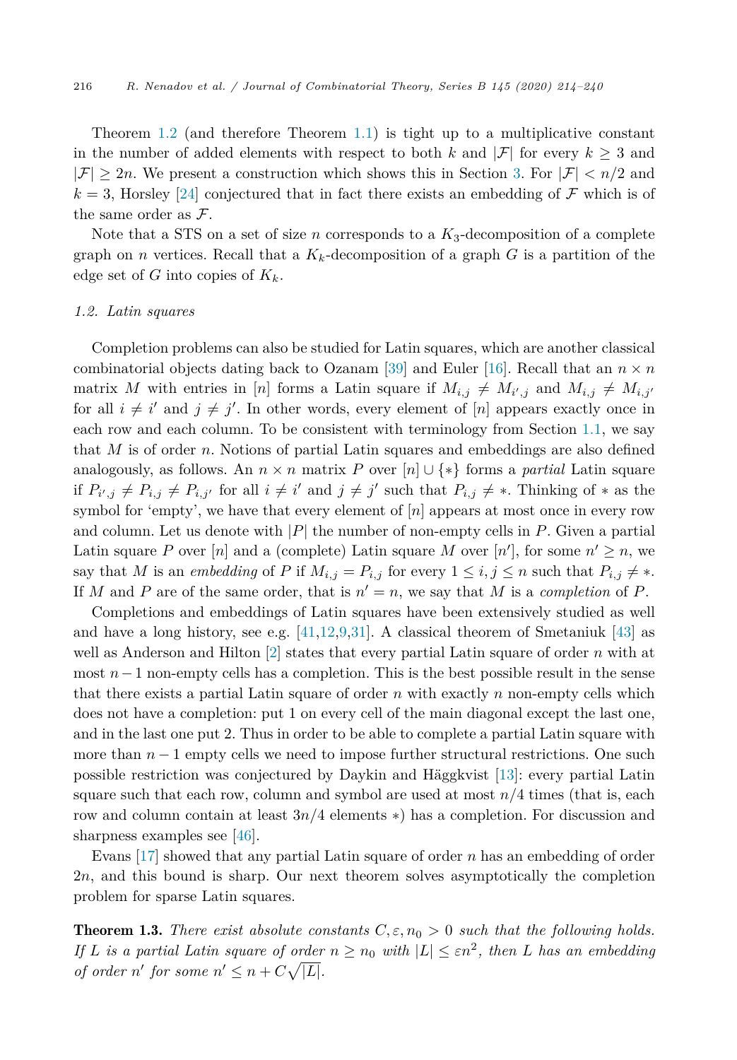<span id="page-2-0"></span>Theorem [1.2](#page-1-0) (and therefore Theorem [1.1\)](#page-1-0) is tight up to a multiplicative constant in the number of added elements with respect to both k and  $|\mathcal{F}|$  for every  $k \geq 3$  and  $|F| > 2n$ . We present a construction which shows this in Section [3](#page-6-0). For  $|F| < n/2$  and  $k = 3$ , Horsley [[24\]](#page-25-0) conjectured that in fact there exists an embedding of F which is of the same order as  $\mathcal{F}$ .

Note that a STS on a set of size *n* corresponds to a  $K_3$ -decomposition of a complete graph on *n* vertices. Recall that a  $K_k$ -decomposition of a graph G is a partition of the edge set of *G* into copies of *Kk*.

# *1.2. Latin squares*

Completion problems can also be studied for Latin squares, which are another classical combinatorial objects dating back to Ozanam [[39\]](#page-26-0) and Euler [\[16\]](#page-25-0). Recall that an  $n \times n$ matrix *M* with entries in [*n*] forms a Latin square if  $M_{i,j} \neq M_{i',j}$  and  $M_{i,j} \neq M_{i,j'}$ for all  $i \neq i'$  and  $j \neq j'$ . In other words, every element of  $[n]$  appears exactly once in each row and each column. To be consistent with terminology from Section [1.1](#page-1-0), we say that *M* is of order *n*. Notions of partial Latin squares and embeddings are also defined analogously, as follows. An  $n \times n$  matrix *P* over  $[n] \cup \{*\}$  forms a *partial* Latin square if  $P_{i',j} \neq P_{i,j'} \neq P_{i,j'}$  for all  $i \neq i'$  and  $j \neq j'$  such that  $P_{i,j} \neq *$ . Thinking of  $*$  as the symbol for 'empty', we have that every element of [*n*] appears at most once in every row and column. Let us denote with |*P*| the number of non-empty cells in *P*. Given a partial Latin square P over  $[n]$  and a (complete) Latin square M over  $[n']$ , for some  $n' \geq n$ , we say that *M* is an *embedding* of *P* if  $M_{i,j} = P_{i,j}$  for every  $1 \leq i, j \leq n$  such that  $P_{i,j} \neq *$ . If *M* and *P* are of the same order, that is  $n' = n$ , we say that *M* is a *completion* of *P*.

Completions and embeddings of Latin squares have been extensively studied as well and have a long history, see e.g.  $[41,12,9,31]$  $[41,12,9,31]$  $[41,12,9,31]$  $[41,12,9,31]$  $[41,12,9,31]$ . A classical theorem of Smetaniuk  $[43]$  $[43]$  as well as Anderson and Hilton [[2\]](#page-25-0) states that every partial Latin square of order *n* with at most *n*−1 non-empty cells has a completion. This is the best possible result in the sense that there exists a partial Latin square of order *n* with exactly *n* non-empty cells which does not have a completion: put 1 on every cell of the main diagonal except the last one, and in the last one put 2. Thus in order to be able to complete a partial Latin square with more than  $n-1$  empty cells we need to impose further structural restrictions. One such possible restriction was conjectured by Daykin and Häggkvist [[13\]](#page-25-0): every partial Latin square such that each row, column and symbol are used at most *n/*4 times (that is, each row and column contain at least 3*n/*4 elements ∗) has a completion. For discussion and sharpness examples see [\[46](#page-26-0)].

Evans [\[17](#page-25-0)] showed that any partial Latin square of order *n* has an embedding of order 2*n*, and this bound is sharp. Our next theorem solves asymptotically the completion problem for sparse Latin squares.

**Theorem 1.3.** *There exist* absolute *constants*  $C, \varepsilon, n_0 > 0$  *such that the following holds.* If L is a partial Latin square of order  $n \geq n_0$  with  $|L| \leq \varepsilon n^2$ , then L has an embedding *of order n' for some*  $n' \leq n + C\sqrt{|L|}$ *.*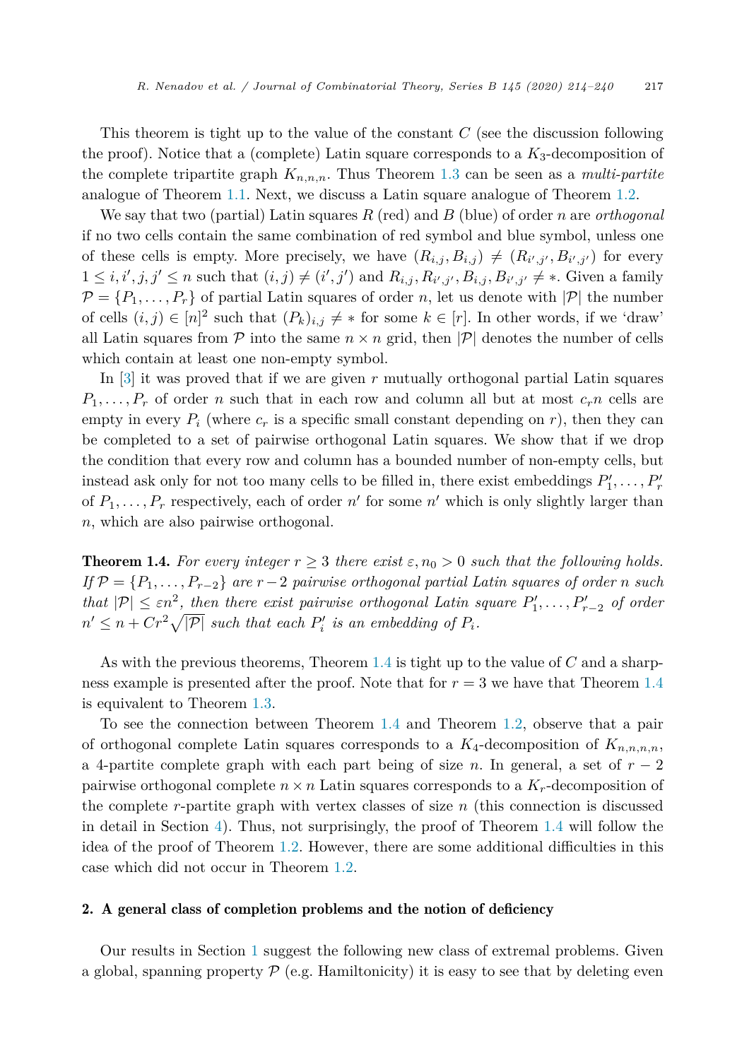<span id="page-3-0"></span>This theorem is tight up to the value of the constant *C* (see the discussion following the proof). Notice that a (complete) Latin square corresponds to a  $K_3$ -decomposition of the complete tripartite graph  $K_{n,n,n}$ . Thus Theorem [1.3](#page-2-0) can be seen as a *multi-partite* analogue of Theorem [1.1](#page-1-0). Next, we discuss a Latin square analogue of Theorem [1.2.](#page-1-0)

We say that two (partial) Latin squares *R* (red) and *B* (blue) of order *n* are *orthogonal* if no two cells contain the same combination of red symbol and blue symbol, unless one of these cells is empty. More precisely, we have  $(R_{i,j}, B_{i,j}) \neq (R_{i',j'}, B_{i',j'})$  for every  $1 \leq i, i', j, j' \leq n$  such that  $(i, j) \neq (i', j')$  and  $R_{i,j}, R_{i',j'}, B_{i,j}, B_{i',j'} \neq \ast$ . Given a family  $\mathcal{P} = \{P_1, \ldots, P_r\}$  of partial Latin squares of order *n*, let us denote with  $|\mathcal{P}|$  the number of cells  $(i, j) \in [n]^2$  such that  $(P_k)_{i,j} \neq *$  for some  $k \in [r]$ . In other words, if we 'draw' all Latin squares from  $P$  into the same  $n \times n$  grid, then  $|P|$  denotes the number of cells which contain at least one non-empty symbol.

In [[3\]](#page-25-0) it was proved that if we are given *r* mutually orthogonal partial Latin squares  $P_1, \ldots, P_r$  of order *n* such that in each row and column all but at most  $c_r n$  cells are empty in every  $P_i$  (where  $c_r$  is a specific small constant depending on  $r$ ), then they can be completed to a set of pairwise orthogonal Latin squares. We show that if we drop the condition that every row and column has a bounded number of non-empty cells, but instead ask only for not too many cells to be filled in, there exist embeddings  $P'_1, \ldots, P'_r$ of  $P_1, \ldots, P_r$  respectively, each of order  $n'$  for some  $n'$  which is only slightly larger than *n*, which are also pairwise orthogonal.

**Theorem 1.4.** For every integer  $r \geq 3$  there exist  $\varepsilon$ ,  $n_0 > 0$  such that the following holds. *If*  $\mathcal{P} = \{P_1, \ldots, P_{r-2}\}$  *are*  $r-2$  *pairwise orthogonal partial Latin squares of order n such that*  $|\mathcal{P}| \leq \varepsilon n^2$ , *then there exist pairwise orthogonal Latin square*  $P'_1, \ldots, P'_{r-2}$  *of order*  $n' \leq n + Cr^2\sqrt{|\mathcal{P}|}$  *such that each*  $P'_i$  *is an embedding of*  $P_i$ *.* 

As with the previous theorems, Theorem 1.4 is tight up to the value of *C* and a sharpness example is presented after the proof. Note that for *r* = 3 we have that Theorem 1.4 is equivalent to Theorem [1.3](#page-2-0).

To see the connection between Theorem 1.4 and Theorem [1.2](#page-1-0), observe that a pair of orthogonal complete Latin squares corresponds to a  $K_4$ -decomposition of  $K_{n,n,n,n}$ , a 4-partite complete graph with each part being of size *n*. In general, a set of *r* − 2 pairwise orthogonal complete  $n \times n$  Latin squares corresponds to a  $K_r$ -decomposition of the complete *r*-partite graph with vertex classes of size *n* (this connection is discussed in detail in Section [4\)](#page-11-0). Thus, not surprisingly, the proof of Theorem 1.4 will follow the idea of the proof of Theorem [1.2](#page-1-0). However, there are some additional difficulties in this case which did not occur in Theorem [1.2.](#page-1-0)

# 2. A general class of completion problems and the notion of deficiency

Our results in Section [1](#page-1-0) suggest the following new class of extremal problems. Given a global, spanning property  $P$  (e.g. Hamiltonicity) it is easy to see that by deleting even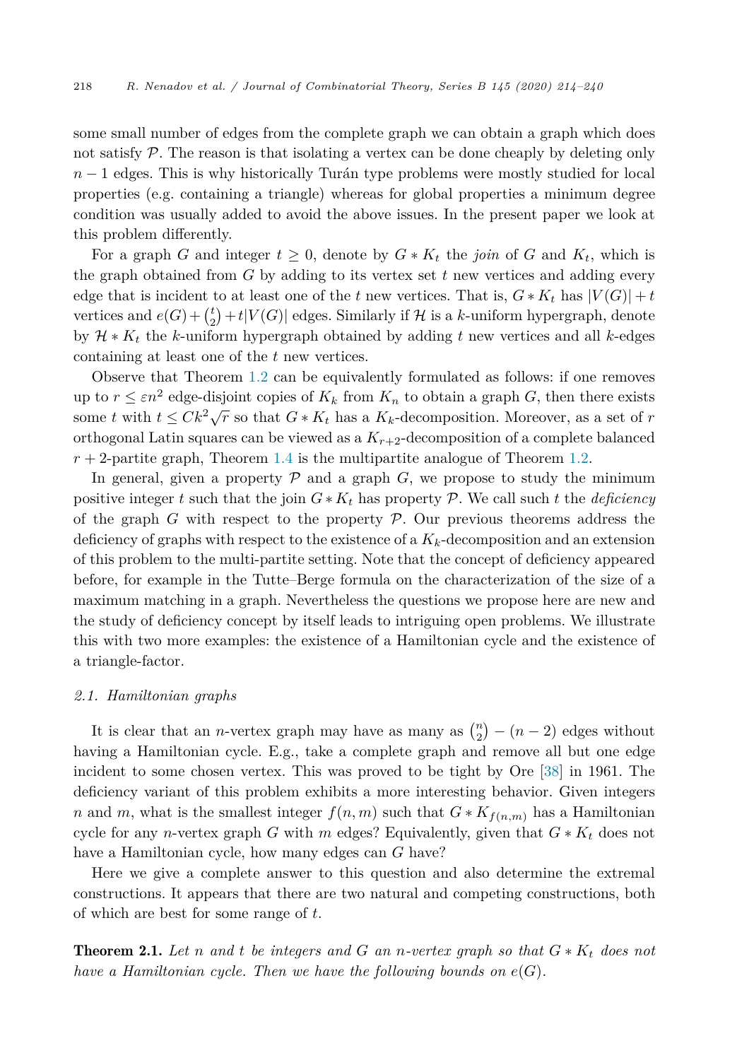<span id="page-4-0"></span>some small number of edges from the complete graph we can obtain a graph which does not satisfy  $P$ . The reason is that isolating a vertex can be done cheaply by deleting only *n* − 1 edges. This is why historically Turán type problems were mostly studied for local properties (e.g. containing a triangle) whereas for global properties a minimum degree condition was usually added to avoid the above issues. In the present paper we look at this problem differently.

For a graph *G* and integer  $t \geq 0$ , denote by  $G * K_t$  the *join* of *G* and  $K_t$ , which is the graph obtained from *G* by adding to its vertex set *t* new vertices and adding every edge that is incident to at least one of the *t* new vertices. That is,  $G * K_t$  has  $|V(G)| + t$ vertices and  $e(G) + {t \choose 2} + t|V(G)|$  edges. Similarly if  $H$  is a *k*-uniform hypergraph, denote by H ∗ *K<sup>t</sup>* the *k*-uniform hypergraph obtained by adding *t* new vertices and all *k*-edges containing at least one of the *t* new vertices.

Observe that Theorem [1.2](#page-1-0) can be equivalently formulated as follows: if one removes up to  $r \leq \varepsilon n^2$  edge-disjoint copies of  $K_k$  from  $K_n$  to obtain a graph *G*, then there exists some *t* with  $t \leq Ck^2\sqrt{r}$  so that  $G * K_t$  has a  $K_k$ -decomposition. Moreover, as a set of *r* orthogonal Latin squares can be viewed as a  $K_{r+2}$ -decomposition of a complete balanced  $r + 2$ -partite graph, Theorem [1.4](#page-3-0) is the multipartite analogue of Theorem [1.2.](#page-1-0)

In general, given a property  $P$  and a graph  $G$ , we propose to study the minimum positive integer *t* such that the join  $G * K_t$  has property P. We call such *t* the *deficiency* of the graph  $G$  with respect to the property  $\mathcal P$ . Our previous theorems address the deficiency of graphs with respect to the existence of a *Kk*-decomposition and an extension of this problem to the multi-partite setting. Note that the concept of deficiency appeared before, for example in the Tutte–Berge formula on the characterization of the size of a maximum matching in a graph. Nevertheless the questions we propose here are new and the study of deficiency concept by itself leads to intriguing open problems. We illustrate this with two more examples: the existence of a Hamiltonian cycle and the existence of a triangle-factor.

#### *2.1. Hamiltonian graphs*

It is clear that an *n*-vertex graph may have as many as  $\binom{n}{2} - (n-2)$  edges without having a Hamiltonian cycle. E.g., take a complete graph and remove all but one edge incident to some chosen vertex. This was proved to be tight by Ore [\[38](#page-26-0)] in 1961. The deficiency variant of this problem exhibits a more interesting behavior. Given integers *n* and *m*, what is the smallest integer  $f(n, m)$  such that  $G * K_{f(n,m)}$  has a Hamiltonian cycle for any *n*-vertex graph *G* with *m* edges? Equivalently, given that  $G * K_t$  does not have a Hamiltonian cycle, how many edges can *G* have?

Here we give a complete answer to this question and also determine the extremal constructions. It appears that there are two natural and competing constructions, both of which are best for some range of *t*.

**Theorem 2.1.** Let *n* and *t* be integers and *G* an *n*-vertex graph so that  $G * K_t$  does not *have a Hamiltonian cycle. Then we have the following bounds on e*(*G*)*.*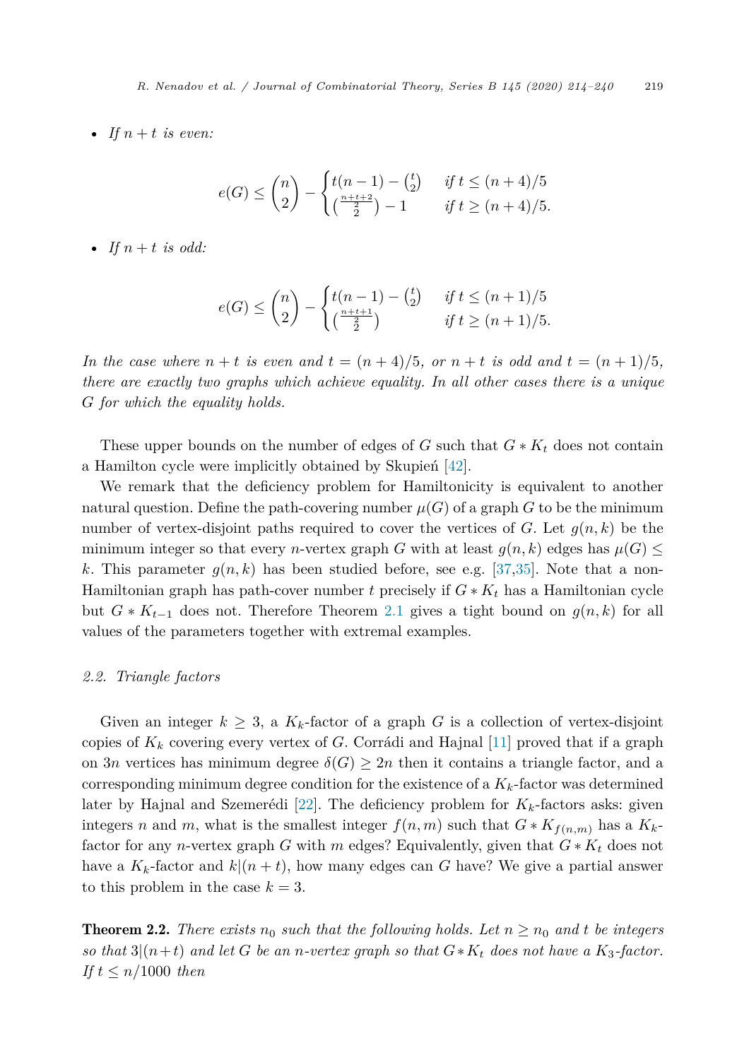<span id="page-5-0"></span>• If  $n + t$  *is even:* 

$$
e(G) \le \binom{n}{2} - \begin{cases} t(n-1) - \binom{t}{2} & \text{if } t \le (n+4)/5 \\ \binom{\frac{n+t+2}{2}}{2} - 1 & \text{if } t \ge (n+4)/5. \end{cases}
$$

• *If*  $n + t$  *is odd:* 

$$
e(G) \le \binom{n}{2} - \begin{cases} t(n-1) - \binom{t}{2} & \text{if } t \le (n+1)/5 \\ \binom{\frac{n+t+1}{2}}{2} & \text{if } t \ge (n+1)/5. \end{cases}
$$

In the case where  $n + t$  is even and  $t = (n + 4)/5$ , or  $n + t$  is odd and  $t = (n + 1)/5$ , *there are exactly two graphs which achieve equality. In all other cases there is a unique G for which the equality holds.*

These upper bounds on the number of edges of *G* such that  $G * K_t$  does not contain a Hamilton cycle were implicitly obtained by Skupień [\[42](#page-26-0)].

We remark that the deficiency problem for Hamiltonicity is equivalent to another natural question. Define the path-covering number  $\mu(G)$  of a graph *G* to be the minimum number of vertex-disjoint paths required to cover the vertices of *G*. Let  $g(n, k)$  be the minimum integer so that every *n*-vertex graph *G* with at least  $g(n, k)$  edges has  $\mu(G) \leq$ k. This parameter  $q(n, k)$  has been studied before, see e.g. [\[37](#page-26-0),[35\]](#page-26-0). Note that a non-Hamiltonian graph has path-cover number t precisely if  $G * K_t$  has a Hamiltonian cycle but  $G * K_{t-1}$  does not. Therefore Theorem [2.1](#page-4-0) gives a tight bound on  $g(n, k)$  for all values of the parameters together with extremal examples.

# *2.2. Triangle factors*

Given an integer  $k \geq 3$ , a  $K_k$ -factor of a graph G is a collection of vertex-disjoint copies of  $K_k$  covering every vertex of *G*. Corrádi and Hajnal [\[11](#page-25-0)] proved that if a graph on 3*n* vertices has minimum degree  $\delta(G) \geq 2n$  then it contains a triangle factor, and a corresponding minimum degree condition for the existence of a  $K_k$ -factor was determined later by Hajnal and Szemerédi [[22\]](#page-25-0). The deficiency problem for  $K_k$ -factors asks: given integers *n* and *m*, what is the smallest integer  $f(n, m)$  such that  $G * K_{f(n,m)}$  has a  $K_k$ factor for any *n*-vertex graph *G* with *m* edges? Equivalently, given that  $G * K_t$  does not have a  $K_k$ -factor and  $k|(n + t)$ , how many edges can G have? We give a partial answer to this problem in the case  $k = 3$ .

**Theorem 2.2.** There exists  $n_0$  such that the following holds. Let  $n \geq n_0$  and t be integers so that  $3(n+t)$  and let G be an n-vertex graph so that  $G*K_t$  does not have a  $K_3$ -factor. *If*  $t \leq n/1000$  *then*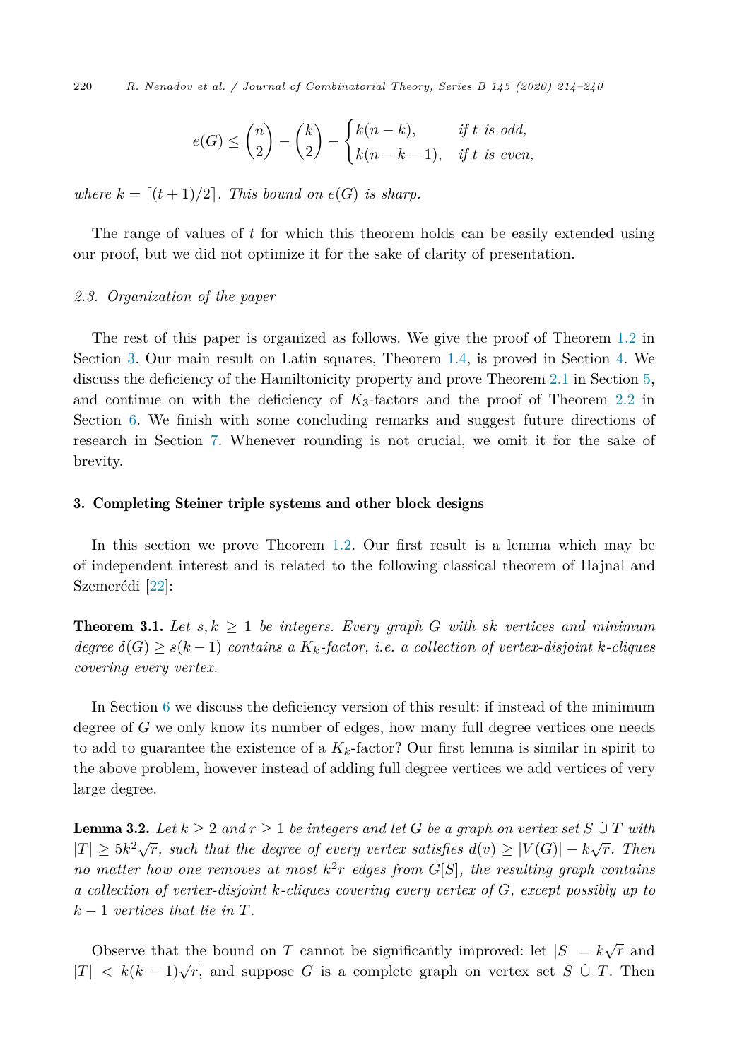<span id="page-6-0"></span>220 *R. Nenadov et al. / Journal of Combinatorial Theory, Series B 145 (2020) 214–240*

$$
e(G) \le \binom{n}{2} - \binom{k}{2} - \begin{cases} k(n-k), & \text{if } t \text{ is odd,} \\ k(n-k-1), & \text{if } t \text{ is even,} \end{cases}
$$

*where*  $k = \lfloor (t+1)/2 \rfloor$ . *This bound on*  $e(G)$  *is sharp.* 

The range of values of *t* for which this theorem holds can be easily extended using our proof, but we did not optimize it for the sake of clarity of presentation.

# *2.3. Organization of the paper*

The rest of this paper is organized as follows. We give the proof of Theorem [1.2](#page-1-0) in Section 3. Our main result on Latin squares, Theorem [1.4,](#page-3-0) is proved in Section [4.](#page-11-0) We discuss the deficiency of the Hamiltonicity property and prove Theorem [2.1](#page-4-0) in Section [5,](#page-17-0) and continue on with the deficiency of  $K_3$ -factors and the proof of Theorem [2.2](#page-5-0) in Section [6](#page-19-0). We finish with some concluding remarks and suggest future directions of research in Section [7.](#page-24-0) Whenever rounding is not crucial, we omit it for the sake of brevity.

# 3. Completing Steiner triple systems and other block designs

In this section we prove Theorem [1.2.](#page-1-0) Our first result is a lemma which may be of independent interest and is related to the following classical theorem of Hajnal and Szemerédi [[22\]](#page-25-0):

**Theorem 3.1.** Let  $s, k \geq 1$  be integers. Every graph G with sk vertices and minimum  $degree\ \delta(G) \geq s(k-1)$  *contains a*  $K_k$ *-factor, i.e. a collection of vertex-disjoint k*-*cliques covering every vertex.*

In Section [6](#page-19-0) we discuss the deficiency version of this result: if instead of the minimum degree of *G* we only know its number of edges, how many full degree vertices one needs to add to guarantee the existence of a  $K_k$ -factor? Our first lemma is similar in spirit to the above problem, however instead of adding full degree vertices we add vertices of very large degree.

**Lemma 3.2.** Let  $k \geq 2$  and  $r \geq 1$  be integers and let G be a graph on vertex set  $S \cup T$  with  $|T| \geq 5k^2\sqrt{r}$ , such that the degree of every vertex satisfies  $d(v) \geq |V(G)| - k\sqrt{r}$ . Then *no* matter how one removes at most  $k^2r$  edges from  $G[S]$ , the resulting graph contains *a collection of vertex-disjoint k-cliques covering every vertex of G, except possibly up to*  $k-1$  *vertices that lie in*  $T$ *.* 

Observe that the bound on *T* cannot be significantly improved: let  $|S| = k\sqrt{r}$  and  $|T| < k(k-1)\sqrt{r}$ , and suppose G is a complete graph on vertex set S  $\cup$  T. Then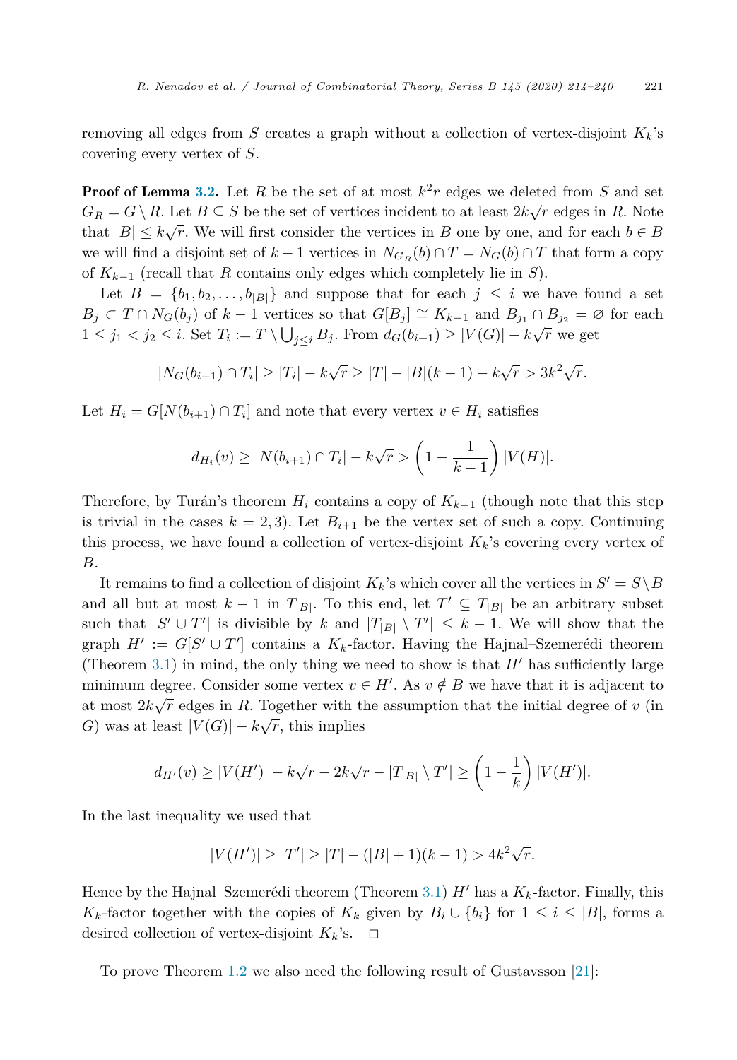removing all edges from *S* creates a graph without a collection of vertex-disjoint  $K_k$ 's covering every vertex of *S*.

**Proof of Lemma [3.2.](#page-6-0)** Let R be the set of at most  $k^2r$  edges we deleted from S and set  $G_R = G \setminus R$ . Let  $B \subseteq S$  be the set of vertices incident to at least  $2k\sqrt{r}$  edges in *R*. Note that  $|B| \leq k\sqrt{r}$ . We will first consider the vertices in *B* one by one, and for each  $b \in B$ we will find a disjoint set of  $k-1$  vertices in  $N_{G_F}(b) \cap T = N_G(b) \cap T$  that form a copy of *K<sup>k</sup>*−<sup>1</sup> (recall that *R* contains only edges which completely lie in *S*).

Let  $B = \{b_1, b_2, \ldots, b_{|B|}\}\$ and suppose that for each  $j \leq i$  we have found a set *B*<sup>*j*</sup> ⊂ *T* ∩ *N<sub>G</sub>*(*b<sub>j</sub>*) of *k* − 1 vertices so that  $G[B_j] \cong K_{k-1}$  and  $B_{j_1} \cap B_{j_2} = \emptyset$  for each  $1 \leq j_1 < j_2 \leq i$ . Set  $T_i := T \setminus \bigcup_{j \leq i} B_j$ . From  $d_G(b_{i+1}) \geq |V(G)| - k\sqrt{r}$  we get

$$
|N_G(b_{i+1}) \cap T_i| \ge |T_i| - k\sqrt{r} \ge |T| - |B|(k-1) - k\sqrt{r} > 3k^2\sqrt{r}.
$$

Let  $H_i = G[N(b_{i+1}) \cap T_i]$  and note that every vertex  $v \in H_i$  satisfies

$$
d_{H_i}(v) \ge |N(b_{i+1}) \cap T_i| - k\sqrt{r} > \left(1 - \frac{1}{k-1}\right)|V(H)|.
$$

Therefore, by Turán's theorem  $H_i$  contains a copy of  $K_{k-1}$  (though note that this step is trivial in the cases  $k = 2, 3$ . Let  $B_{i+1}$  be the vertex set of such a copy. Continuing this process, we have found a collection of vertex-disjoint  $K_k$ 's covering every vertex of *B*.

It remains to find a collection of disjoint  $K_k$ 's which cover all the vertices in  $S' = S \setminus B$ and all but at most  $k-1$  in  $T_{|B|}$ . To this end, let  $T' \subseteq T_{|B|}$  be an arbitrary subset such that  $|S' \cup T'|$  is divisible by *k* and  $|T_{|B|} \setminus T'| \leq k-1$ . We will show that the graph  $H' := G[S' \cup T']$  contains a  $K_k$ -factor. Having the Hajnal–Szemerédi theorem (Theorem [3.1](#page-6-0)) in mind, the only thing we need to show is that  $H'$  has sufficiently large minimum degree. Consider some vertex  $v \in H'$ . As  $v \notin B$  we have that it is adjacent to at most  $2k\sqrt{r}$  edges in *R*. Together with the assumption that the initial degree of *v* (in *G*) was at least  $|V(G)| - k\sqrt{r}$ , this implies

$$
d_{H'}(v) \ge |V(H')| - k\sqrt{r} - 2k\sqrt{r} - |T_{|B|} \setminus T'| \ge \left(1 - \frac{1}{k}\right)|V(H')|.
$$

In the last inequality we used that

$$
|V(H')| \ge |T'| \ge |T| - (|B| + 1)(k - 1) > 4k^2\sqrt{r}.
$$

Hence by the Hajnal–Szemerédi theorem (Theorem [3.1](#page-6-0)) *H*<sup> $\prime$ </sup> has a  $K_k$ -factor. Finally, this *K<sub>k</sub>*-factor together with the copies of  $K_k$  given by  $B_i \cup \{b_i\}$  for  $1 \leq i \leq |B|$ , forms a desired collection of vertex-disjoint  $K_k$ 's.  $\Box$ 

To prove Theorem [1.2](#page-1-0) we also need the following result of Gustavsson [\[21\]](#page-25-0):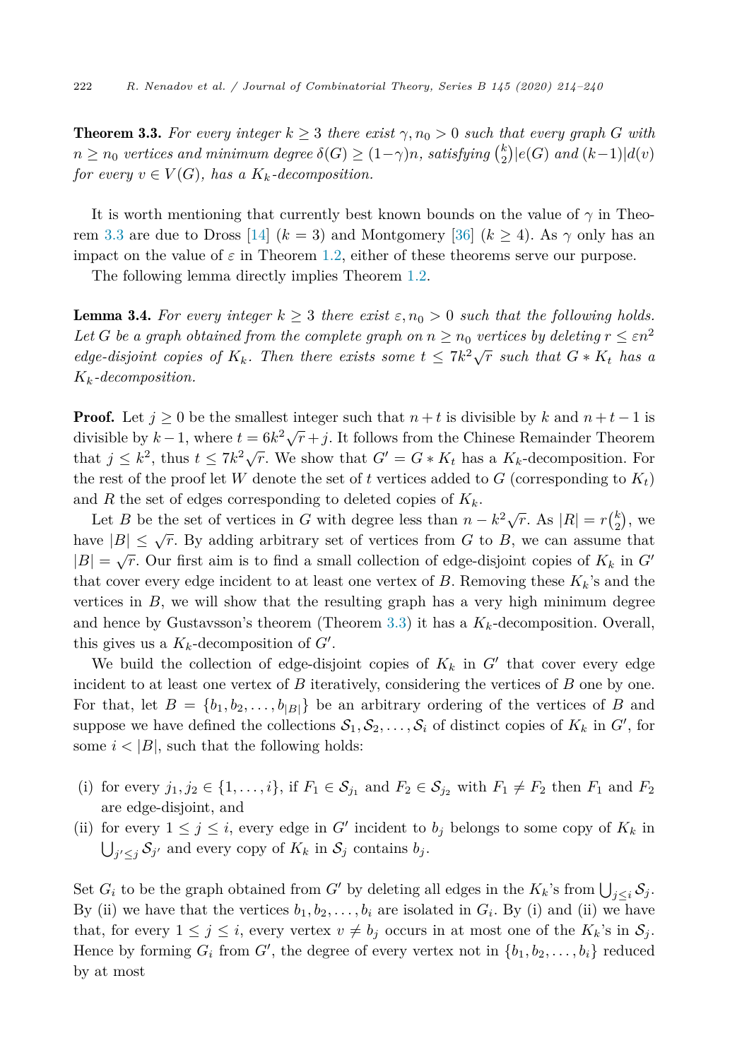<span id="page-8-0"></span>**Theorem 3.3.** For every integer  $k \geq 3$  there exist  $\gamma, n_0 > 0$  such that every graph G with  $n \geq n_0$  *vertices* and *minimum* degree  $\delta(G) \geq (1-\gamma)n$ *, satisfying*  ${k \choose 2} |e(G)$  and  $(k-1)|d(v)$ *for every*  $v \in V(G)$ *, has a*  $K_k$ *-decomposition.* 

It is worth mentioning that currently best known bounds on the value of  $\gamma$  in Theo-rem 3.3 are due to Dross [\[14](#page-25-0)]  $(k = 3)$  and Montgomery [\[36](#page-26-0)]  $(k \ge 4)$ . As  $\gamma$  only has an impact on the value of  $\varepsilon$  in Theorem [1.2](#page-1-0), either of these theorems serve our purpose.

The following lemma directly implies Theorem [1.2](#page-1-0).

**Lemma 3.4.** For every integer  $k \geq 3$  there exist  $\varepsilon, n_0 > 0$  such that the following holds. *Let G be a graph obtained from the complete graph on*  $n \geq n_0$  *vertices by deleting*  $r \leq \varepsilon n^2$ *edge-disjoint copies of*  $K_k$ *. Then there exists some*  $t \leq 7k^2\sqrt{r}$  *such that*  $G * K_t$  *has a Kk-decomposition.*

**Proof.** Let  $j \geq 0$  be the smallest integer such that  $n + t$  is divisible by k and  $n + t - 1$  is divisible by  $k-1$ , where  $t = 6k^2\sqrt{r} + j$ . It follows from the Chinese Remainder Theorem that  $j \leq k^2$ , thus  $t \leq 7k^2\sqrt{r}$ . We show that  $G' = G * K_t$  has a  $K_k$ -decomposition. For the rest of the proof let *W* denote the set of *t* vertices added to *G* (corresponding to  $K_t$ ) and *R* the set of edges corresponding to deleted copies of  $K_k$ .

Let *B* be the set of vertices in *G* with degree less than  $n - k^2 \sqrt{r}$ . As  $|R| = r{k \choose 2}$ , we have  $|B| \leq \sqrt{r}$ . By adding arbitrary set of vertices from *G* to *B*, we can assume that  $|B| = \sqrt{r}$ . Our first aim is to find a small collection of edge-disjoint copies of  $K_k$  in  $G'$ that cover every edge incident to at least one vertex of  $B$ . Removing these  $K_k$ 's and the vertices in  $B$ , we will show that the resulting graph has a very high minimum degree and hence by Gustavsson's theorem (Theorem 3.3) it has a  $K_k$ -decomposition. Overall, this gives us a  $K_k$ -decomposition of  $G'$ .

We build the collection of edge-disjoint copies of  $K_k$  in  $G'$  that cover every edge incident to at least one vertex of  $B$  iteratively, considering the vertices of  $B$  one by one. For that, let  $B = \{b_1, b_2, \ldots, b_{|B|}\}\$ be an arbitrary ordering of the vertices of *B* and suppose we have defined the collections  $S_1, S_2, \ldots, S_i$  of distinct copies of  $K_k$  in  $G'$ , for some  $i < |B|$ , such that the following holds:

- (i) for every  $j_1, j_2 \in \{1, \ldots, i\}$ , if  $F_1 \in S_{j_1}$  and  $F_2 \in S_{j_2}$  with  $F_1 \neq F_2$  then  $F_1$  and  $F_2$ are edge-disjoint, and
- (ii) for every  $1 \leq j \leq i$ , every edge in *G*<sup> $\prime$ </sup> incident to  $b_j$  belongs to some copy of  $K_k$  in  $\bigcup_{j' \leq j} S_{j'}$  and every copy of  $K_k$  in  $S_j$  contains  $b_j$ .

Set  $G_i$  to be the graph obtained from  $G'$  by deleting all edges in the  $K_k$ 's from  $\bigcup_{j\leq i} S_j$ . By (ii) we have that the vertices  $b_1, b_2, \ldots, b_i$  are isolated in  $G_i$ . By (i) and (ii) we have that, for every  $1 \leq j \leq i$ , every vertex  $v \neq b_j$  occurs in at most one of the  $K_k$ 's in  $\mathcal{S}_j$ . Hence by forming  $G_i$  from  $G'$ , the degree of every vertex not in  $\{b_1, b_2, \ldots, b_i\}$  reduced by at most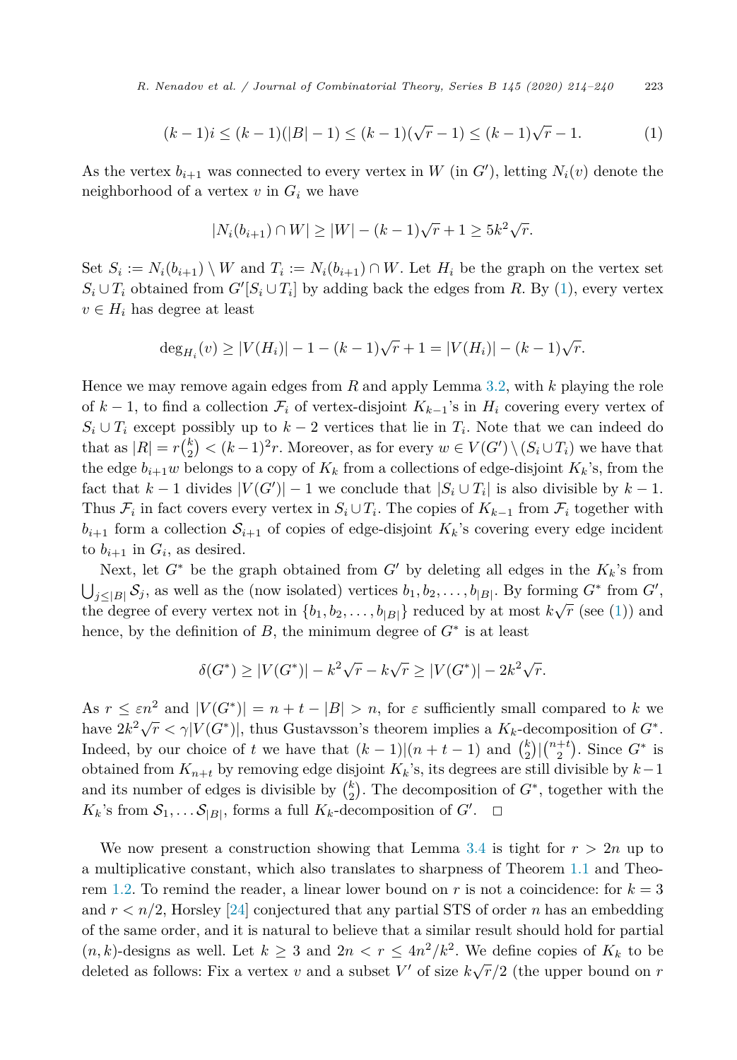*R. Nenadov et al. / Journal of Combinatorial Theory, Series B 145 (2020) 214–240* 223

$$
(k-1)i \le (k-1)(|B|-1) \le (k-1)(\sqrt{r}-1) \le (k-1)\sqrt{r}-1. \tag{1}
$$

As the vertex  $b_{i+1}$  was connected to every vertex in W (in  $G'$ ), letting  $N_i(v)$  denote the neighborhood of a vertex  $v$  in  $G_i$  we have

$$
|N_i(b_{i+1}) \cap W| \ge |W| - (k-1)\sqrt{r} + 1 \ge 5k^2\sqrt{r}.
$$

Set  $S_i := N_i(b_{i+1}) \setminus W$  and  $T_i := N_i(b_{i+1}) \cap W$ . Let  $H_i$  be the graph on the vertex set  $S_i \cup T_i$  obtained from  $G'[S_i \cup T_i]$  by adding back the edges from *R*. By (1), every vertex  $v \in H_i$  has degree at least

$$
\deg_{H_i}(v) \ge |V(H_i)| - 1 - (k - 1)\sqrt{r} + 1 = |V(H_i)| - (k - 1)\sqrt{r}.
$$

Hence we may remove again edges from *R* and apply Lemma [3.2](#page-6-0), with *k* playing the role of  $k-1$ , to find a collection  $\mathcal{F}_i$  of vertex-disjoint  $K_{k-1}$ 's in  $H_i$  covering every vertex of  $S_i \cup T_i$  except possibly up to  $k-2$  vertices that lie in  $T_i$ . Note that we can indeed do that as  $|R| = r\binom{k}{2} < (k-1)^2r$ . Moreover, as for every  $w \in V(G') \setminus (S_i \cup T_i)$  we have that the edge  $b_{i+1}w$  belongs to a copy of  $K_k$  from a collections of edge-disjoint  $K_k$ 's, from the fact that  $k-1$  divides  $|V(G')|-1$  we conclude that  $|S_i \cup T_i|$  is also divisible by  $k-1$ . Thus  $\mathcal{F}_i$  in fact covers every vertex in  $S_i \cup T_i$ . The copies of  $K_{k-1}$  from  $\mathcal{F}_i$  together with  $b_{i+1}$  form a collection  $S_{i+1}$  of copies of edge-disjoint  $K_k$ 's covering every edge incident to  $b_{i+1}$  in  $G_i$ , as desired.

Next, let  $G^*$  be the graph obtained from  $G'$  by deleting all edges in the  $K_k$ 's from  $\bigcup_{j\leq |B|} \mathcal{S}_j$ , as well as the (now isolated) vertices  $b_1, b_2, \ldots, b_{|B|}$ . By forming  $G^*$  from  $G'$ , the degree of every vertex not in  $\{b_1, b_2, \ldots, b_{|B|}\}\$  reduced by at most  $k\sqrt{r}$  (see (1)) and hence, by the definition of *B*, the minimum degree of  $G^*$  is at least

$$
\delta(G^*) \ge |V(G^*)| - k^2 \sqrt{r} - k\sqrt{r} \ge |V(G^*)| - 2k^2 \sqrt{r}.
$$

As  $r \leq \varepsilon n^2$  and  $|V(G^*)| = n + t - |B| > n$ , for  $\varepsilon$  sufficiently small compared to *k* we have  $2k^2\sqrt{r} < \gamma |V(G^*)|$ , thus Gustavsson's theorem implies a  $K_k$ -decomposition of  $G^*$ . Indeed, by our choice of *t* we have that  $(k-1)(n+t-1)$  and  ${k \choose 2} \binom{n+t}{2}$ . Since  $G^*$  is obtained from *K<sup>n</sup>*+*<sup>t</sup>* by removing edge disjoint *Kk*'s, its degrees are still divisible by *k*−1 and its number of edges is divisible by  $\binom{k}{2}$ . The decomposition of  $G^*$ , together with the  $K_k$ 's from  $S_1, \ldots S_{|B|}$ , forms a full  $K_k$ -decomposition of  $G'$ .  $\Box$ 

We now present a construction showing that Lemma [3.4](#page-8-0) is tight for  $r > 2n$  up to a multiplicative constant, which also translates to sharpness of Theorem [1.1](#page-1-0) and Theo-rem [1.2](#page-1-0). To remind the reader, a linear lower bound on  $r$  is not a coincidence: for  $k = 3$ and  $r < n/2$ , Horsley [[24\]](#page-25-0) conjectured that any partial STS of order *n* has an embedding of the same order, and it is natural to believe that a similar result should hold for partial  $(n, k)$ -designs as well. Let  $k \geq 3$  and  $2n < r \leq 4n^2/k^2$ . We define copies of  $K_k$  to be deleted as follows: Fix a vertex *v* and a subset  $V'$  of size  $k\sqrt{r}/2$  (the upper bound on *r*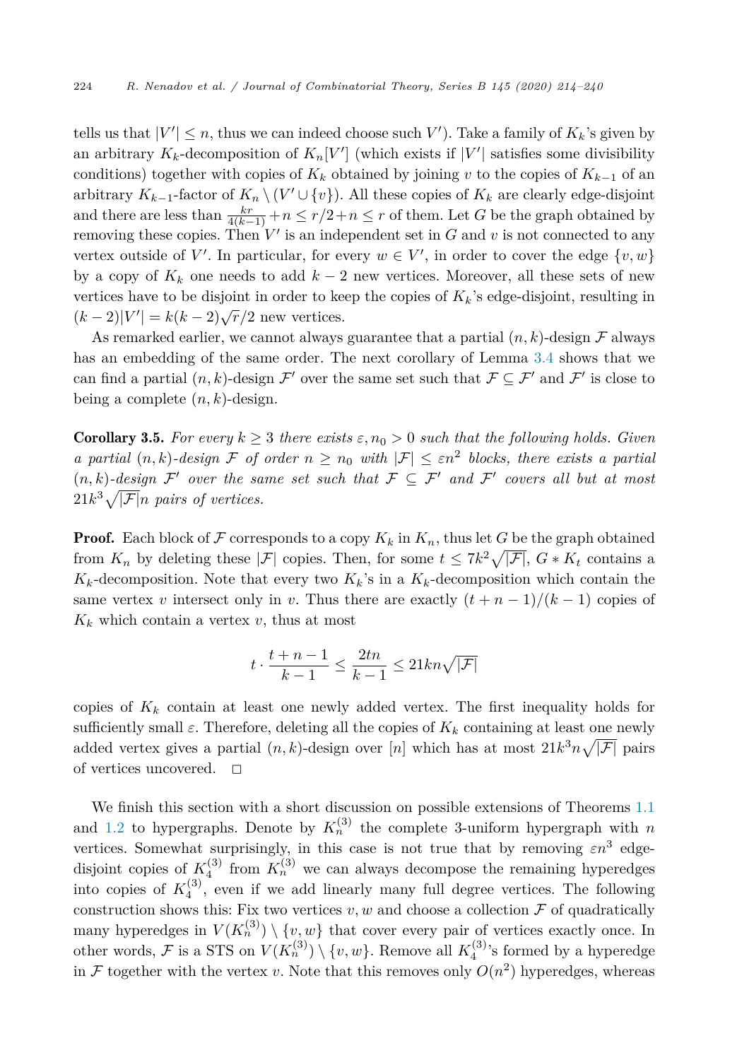tells us that  $|V'| \leq n$ , thus we can indeed choose such *V*'). Take a family of  $K_k$ 's given by an arbitrary  $K_k$ -decomposition of  $K_n[V']$  (which exists if  $|V'|$  satisfies some divisibility conditions) together with copies of  $K_k$  obtained by joining *v* to the copies of  $K_{k-1}$  of an arbitrary  $K_{k-1}$ -factor of  $K_n \setminus (V' \cup \{v\})$ . All these copies of  $K_k$  are clearly edge-disjoint and there are less than  $\frac{kr}{4(k-1)} + n \leq r/2 + n \leq r$  of them. Let *G* be the graph obtained by removing these copies. Then  $V'$  is an independent set in  $G$  and  $v$  is not connected to any vertex outside of  $V'$ . In particular, for every  $w \in V'$ , in order to cover the edge  $\{v, w\}$ by a copy of  $K_k$  one needs to add  $k-2$  new vertices. Moreover, all these sets of new vertices have to be disjoint in order to keep the copies of  $K_k$ 's edge-disjoint, resulting in  $(k-2)|V'$  $| = k(k-2)\sqrt{r}/2$  new vertices.

As remarked earlier, we cannot always guarantee that a partial  $(n, k)$ -design  $\mathcal F$  always has an embedding of the same order. The next corollary of Lemma [3.4](#page-8-0) shows that we can find a partial  $(n, k)$ -design  $\mathcal{F}'$  over the same set such that  $\mathcal{F} \subseteq \mathcal{F}'$  and  $\mathcal{F}'$  is close to being a complete  $(n, k)$ -design.

**Corollary 3.5.** For every  $k \geq 3$  there exists  $\varepsilon$ ,  $n_0 > 0$  such that the following holds. Given *a partial*  $(n, k)$ *-design* F *of order*  $n \geq n_0$  *with*  $|\mathcal{F}| \leq \varepsilon n^2$  *blocks, there exists a partial*  $(n, k)$ -design  $\mathcal{F}'$  over the same set such that  $\mathcal{F} \subseteq \mathcal{F}'$  and  $\mathcal{F}'$  covers all but at most  $21k^3\sqrt{|\mathcal{F}|}n$  pairs of vertices.

**Proof.** Each block of F corresponds to a copy  $K_k$  in  $K_n$ , thus let G be the graph obtained from  $K_n$  by deleting these  $|\mathcal{F}|$  copies. Then, for some  $t \leq 7k^2\sqrt{|\mathcal{F}|}$ ,  $G * K_t$  contains a  $K_k$ -decomposition. Note that every two  $K_k$ 's in a  $K_k$ -decomposition which contain the same vertex *v* intersect only in *v*. Thus there are exactly  $(t + n - 1)/(k - 1)$  copies of  $K_k$  which contain a vertex  $v$ , thus at most

$$
t \cdot \frac{t+n-1}{k-1} \le \frac{2tn}{k-1} \le 21kn\sqrt{|\mathcal{F}|}
$$

copies of  $K_k$  contain at least one newly added vertex. The first inequality holds for sufficiently small  $\varepsilon$ . Therefore, deleting all the copies of  $K_k$  containing at least one newly added vertex gives a partial  $(n, k)$ -design over  $[n]$  which has at most  $21k^3n\sqrt{|\mathcal{F}|}$  pairs of vertices uncovered.  $\Box$ 

We finish this section with a short discussion on possible extensions of Theorems [1.1](#page-1-0) and [1.2](#page-1-0) to hypergraphs. Denote by  $K_n^{(3)}$  the complete 3-uniform hypergraph with *n* vertices. Somewhat surprisingly, in this case is not true that by removing  $\varepsilon n^3$  edgedisjoint copies of  $K_4^{(3)}$  from  $K_n^{(3)}$  we can always decompose the remaining hyperedges into copies of  $K_4^{(3)}$ , even if we add linearly many full degree vertices. The following construction shows this: Fix two vertices  $v, w$  and choose a collection  $\mathcal F$  of quadratically many hyperedges in  $V(K_n^{(3)}) \setminus \{v,w\}$  that cover every pair of vertices exactly once. In other words,  $\mathcal F$  is a STS on  $V(K_n^{(3)}) \setminus \{v, w\}$ . Remove all  $K_4^{(3)}$ 's formed by a hyperedge in F together with the vertex *v*. Note that this removes only  $O(n^2)$  hyperedges, whereas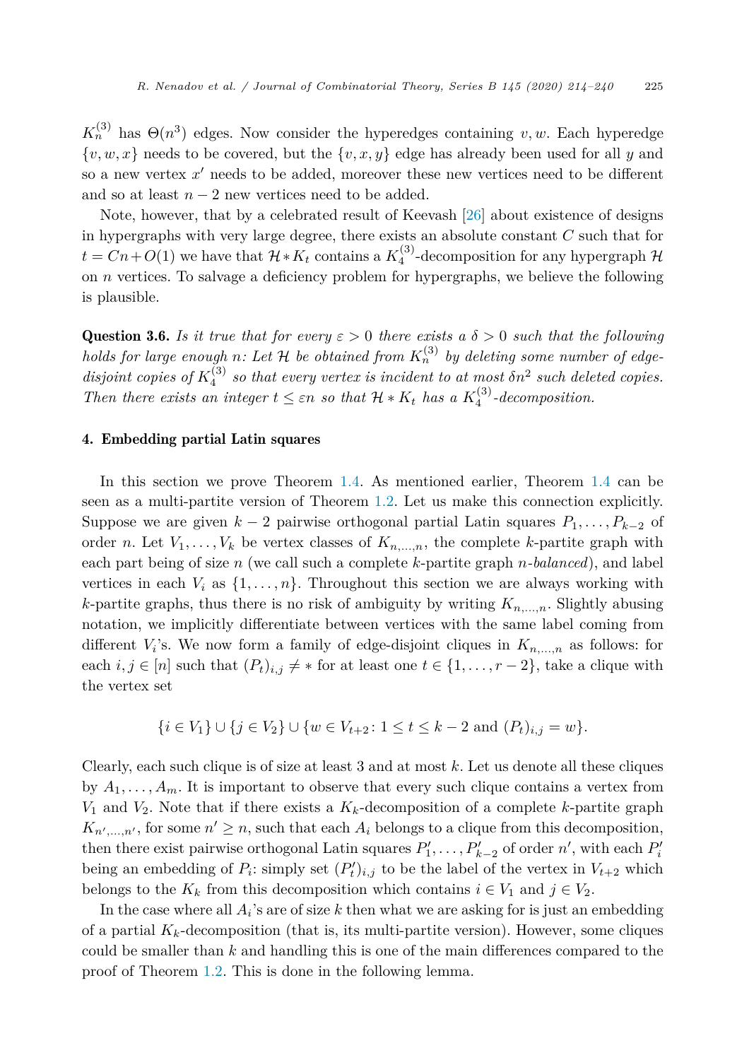<span id="page-11-0"></span> $K_n^{(3)}$  has  $\Theta(n^3)$  edges. Now consider the hyperedges containing *v, w*. Each hyperedge  $\{v, w, x\}$  needs to be covered, but the  $\{v, x, y\}$  edge has already been used for all *y* and so a new vertex x' needs to be added, moreover these new vertices need to be different and so at least  $n-2$  new vertices need to be added.

Note, however, that by a celebrated result of Keevash [\[26](#page-25-0)] about existence of designs in hypergraphs with very large degree, there exists an absolute constant *C* such that for  $t = Cn + O(1)$  we have that  $\mathcal{H} * K_t$  contains a  $K_4^{(3)}$ -decomposition for any hypergraph  $\mathcal{H}$ on *n* vertices. To salvage a deficiency problem for hypergraphs, we believe the following is plausible.

**Question 3.6.** *Is it true that for every*  $\varepsilon > 0$  *there exists*  $a \delta > 0$  *such that the following holds* for *large* enough *n*: Let  $H$  be obtained from  $K_n^{(3)}$  by deleting some number of edge*disjoint copies of*  $K_4^{(3)}$  *so that every vertex is incident to at most*  $\delta n^2$  *such deleted copies. Then there exists an integer*  $t \leq \varepsilon n$  *so that*  $\mathcal{H} * K_t$  *has a*  $K_4^{(3)}$ -*decomposition.* 

# 4. Embedding partial Latin squares

In this section we prove Theorem [1.4](#page-3-0). As mentioned earlier, Theorem [1.4](#page-3-0) can be seen as a multi-partite version of Theorem [1.2.](#page-1-0) Let us make this connection explicitly. Suppose we are given  $k - 2$  pairwise orthogonal partial Latin squares  $P_1, \ldots, P_{k-2}$  of order *n*. Let  $V_1, \ldots, V_k$  be vertex classes of  $K_{n,\ldots,n}$ , the complete *k*-partite graph with each part being of size *n* (we call such a complete *k*-partite graph *n-balanced*), and label vertices in each  $V_i$  as  $\{1, \ldots, n\}$ . Throughout this section we are always working with *k*-partite graphs, thus there is no risk of ambiguity by writing  $K_{n,\ldots,n}$ . Slightly abusing notation, we implicitly differentiate between vertices with the same label coming from different  $V_i$ 's. We now form a family of edge-disjoint cliques in  $K_{n,\dots,n}$  as follows: for each  $i, j \in [n]$  such that  $(P_t)_{i,j} \neq *$  for at least one  $t \in \{1, \ldots, r-2\}$ , take a clique with the vertex set

$$
\{i \in V_1\} \cup \{j \in V_2\} \cup \{w \in V_{t+2} \colon 1 \le t \le k-2 \text{ and } (P_t)_{i,j} = w\}.
$$

Clearly, each such clique is of size at least 3 and at most *k*. Let us denote all these cliques by  $A_1, \ldots, A_m$ . It is important to observe that every such clique contains a vertex from  $V_1$  and  $V_2$ . Note that if there exists a  $K_k$ -decomposition of a complete *k*-partite graph  $K_{n',...,n'}$ , for some  $n' \geq n$ , such that each  $A_i$  belongs to a clique from this decomposition, then there exist pairwise orthogonal Latin squares  $P'_1, \ldots, P'_{k-2}$  of order  $n'$ , with each  $P'_i$ being an embedding of  $P_i$ : simply set  $(P'_t)_{i,j}$  to be the label of the vertex in  $V_{t+2}$  which belongs to the  $K_k$  from this decomposition which contains  $i \in V_1$  and  $j \in V_2$ .

In the case where all *Ai*'s are of size *k* then what we are asking for is just an embedding of a partial  $K_k$ -decomposition (that is, its multi-partite version). However, some cliques could be smaller than *k* and handling this is one of the main differences compared to the proof of Theorem [1.2.](#page-1-0) This is done in the following lemma.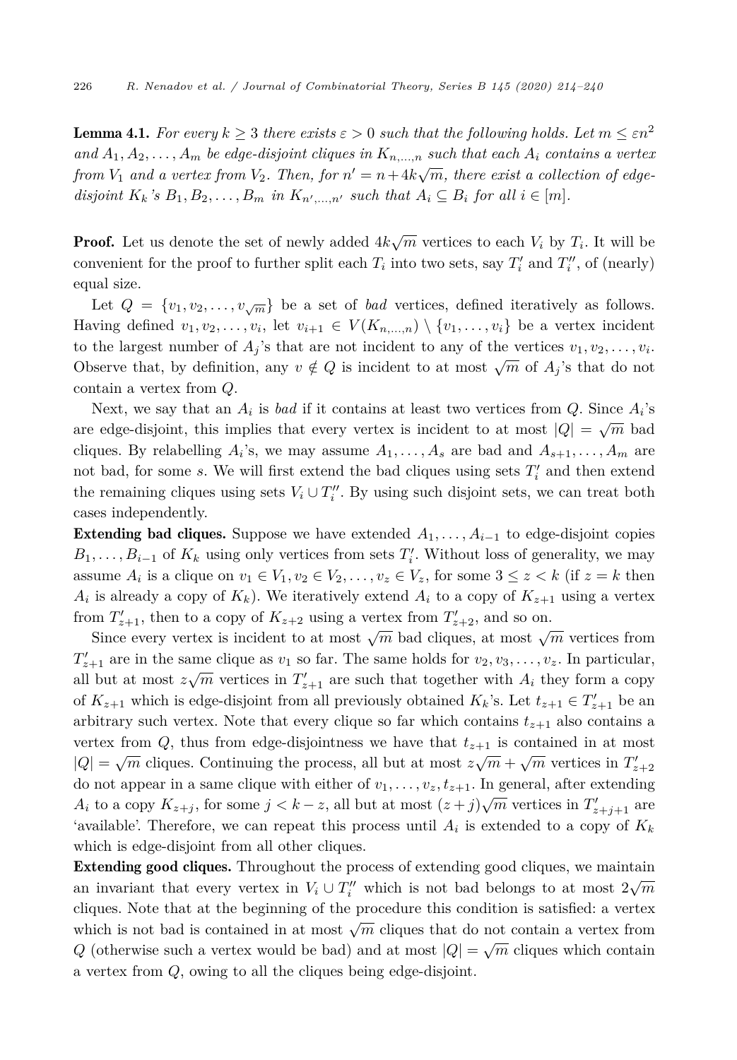<span id="page-12-0"></span>**Lemma 4.1.** For every  $k \geq 3$  there exists  $\varepsilon > 0$  such that the following holds. Let  $m \leq \varepsilon n^2$ and  $A_1, A_2, \ldots, A_m$  be edge-disjoint cliques in  $K_{n_1,\ldots,n_n}$  such that each  $A_i$  contains a vertex from  $V_1$  and a vertex from  $V_2$ . Then, for  $n' = n + 4k\sqrt{m}$ , there exist a collection of edgedisjoint  $K_k$ 's  $B_1, B_2, \ldots, B_m$  in  $K_{n',...,n'}$  such that  $A_i \subseteq B_i$  for all  $i \in [m]$ .

**Proof.** Let us denote the set of newly added  $4k\sqrt{m}$  vertices to each  $V_i$  by  $T_i$ . It will be convenient for the proof to further split each  $T_i$  into two sets, say  $T_i'$  and  $T_i''$ , of (nearly) equal size.

Let  $Q = \{v_1, v_2, \ldots, v_{\sqrt{m}}\}$  be a set of *bad* vertices, defined iteratively as follows. Having defined  $v_1, v_2, \ldots, v_i$ , let  $v_{i+1} \in V(K_{n,\ldots,n}) \setminus \{v_1, \ldots, v_i\}$  be a vertex incident to the largest number of  $A_i$ 's that are not incident to any of the vertices  $v_1, v_2, \ldots, v_i$ . Observe that, by definition, any  $v \notin Q$  is incident to at most  $\sqrt{m}$  of  $A_i$ 's that do not contain a vertex from *Q*.

Next, we say that an  $A_i$  is *bad* if it contains at least two vertices from  $Q$ . Since  $A_i$ 's are edge-disjoint, this implies that every vertex is incident to at most  $|Q| = \sqrt{m}$  bad cliques. By relabelling  $A_i$ 's, we may assume  $A_1, \ldots, A_s$  are bad and  $A_{s+1}, \ldots, A_m$  are not bad, for some *s*. We will first extend the bad cliques using sets  $T_i'$  and then extend the remaining cliques using sets  $V_i \cup T''_i$ . By using such disjoint sets, we can treat both cases independently.

**Extending bad cliques.** Suppose we have extended  $A_1, \ldots, A_{i-1}$  to edge-disjoint copies  $B_1, \ldots, B_{i-1}$  of  $K_k$  using only vertices from sets  $T_i'$ . Without loss of generality, we may assume  $A_i$  is a clique on  $v_1 \in V_1, v_2 \in V_2, \ldots, v_z \in V_z$ , for some  $3 \le z \le k$  (if  $z = k$  then  $A_i$  is already a copy of  $K_k$ ). We iteratively extend  $A_i$  to a copy of  $K_{z+1}$  using a vertex from  $T'_{z+1}$ , then to a copy of  $K_{z+2}$  using a vertex from  $T'_{z+2}$ , and so on.

Since every vertex is incident to at most  $\sqrt{m}$  bad cliques, at most  $\sqrt{m}$  vertices from  $T'_{z+1}$  are in the same clique as  $v_1$  so far. The same holds for  $v_2, v_3, \ldots, v_z$ . In particular, all but at most  $z\sqrt{m}$  vertices in  $T'_{z+1}$  are such that together with  $A_i$  they form a copy of  $K_{z+1}$  which is edge-disjoint from all previously obtained  $K_k$ 's. Let  $t_{z+1} \in T'_{z+1}$  be an arbitrary such vertex. Note that every clique so far which contains  $t_{z+1}$  also contains a vertex from  $Q$ , thus from edge-disjointness we have that  $t_{z+1}$  is contained in at most  $|Q| = \sqrt{m}$  cliques. Continuing the process, all but at most  $z\sqrt{m} + \sqrt{m}$  vertices in  $T'_{z+2}$ do not appear in a same clique with either of  $v_1, \ldots, v_z, t_{z+1}$ . In general, after extending *A*<sup>*i*</sup> to a copy  $K_{z+j}$ , for some  $j < k-z$ , all but at most  $(z+j)\sqrt{m}$  vertices in  $T'_{z+j+1}$  are 'available'. Therefore, we can repeat this process until  $A_i$  is extended to a copy of  $K_k$ which is edge-disjoint from all other cliques.

Extending good cliques. Throughout the process of extending good cliques, we maintain an invariant that every vertex in  $V_i \cup T''_i$  which is not bad belongs to at most  $2\sqrt{m}$ cliques. Note that at the beginning of the procedure this condition is satisfied: a vertex which is not bad is contained in at most  $\sqrt{m}$  cliques that do not contain a vertex from *Q* (otherwise such a vertex would be bad) and at most  $|Q| = \sqrt{m}$  cliques which contain a vertex from *Q*, owing to all the cliques being edge-disjoint.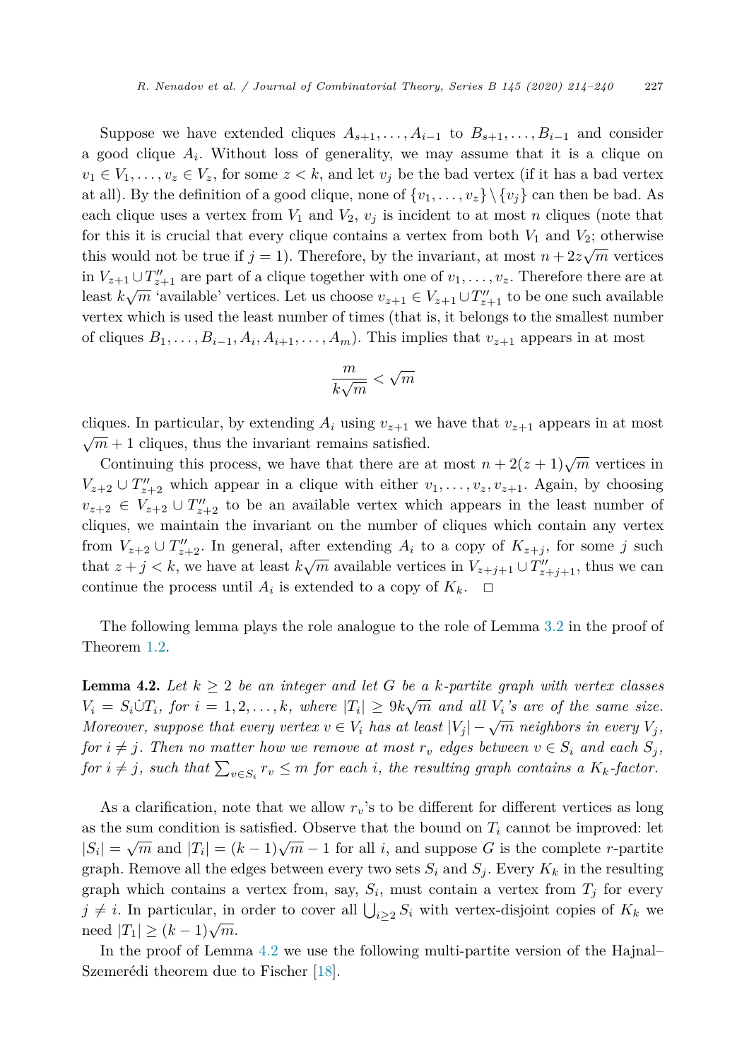<span id="page-13-0"></span>Suppose we have extended cliques  $A_{s+1}, \ldots, A_{i-1}$  to  $B_{s+1}, \ldots, B_{i-1}$  and consider a good clique  $A_i$ . Without loss of generality, we may assume that it is a clique on  $v_1 \in V_1, \ldots, v_z \in V_z$ , for some  $z < k$ , and let  $v_j$  be the bad vertex (if it has a bad vertex at all). By the definition of a good clique, none of  $\{v_1, \ldots, v_z\} \setminus \{v_j\}$  can then be bad. As each clique uses a vertex from  $V_1$  and  $V_2$ ,  $v_j$  is incident to at most *n* cliques (note that for this it is crucial that every clique contains a vertex from both  $V_1$  and  $V_2$ ; otherwise this would not be true if  $j = 1$ ). Therefore, by the invariant, at most  $n + 2z\sqrt{m}$  vertices in  $V_{z+1} \cup T''_{z+1}$  are part of a clique together with one of  $v_1, \ldots, v_z$ . Therefore there are at least  $k\sqrt{m}$  'available' vertices. Let us choose  $v_{z+1} \in V_{z+1} \cup T''_{z+1}$  to be one such available vertex which is used the least number of times (that is, it belongs to the smallest number of cliques  $B_1, \ldots, B_{i-1}, A_i, A_{i+1}, \ldots, A_m$ . This implies that  $v_{z+1}$  appears in at most

$$
\frac{m}{k\sqrt{m}} < \sqrt{m}
$$

cliques. In particular, by extending  $A_i$  using  $v_{z+1}$  we have that  $v_{z+1}$  appears in at most  $\sqrt{m} + 1$  cliques, thus the invariant remains satisfied.

Continuing this process, we have that there are at most  $n + 2(z + 1)\sqrt{m}$  vertices in  $V_{z+2} \cup T''_{z+2}$  which appear in a clique with either  $v_1, \ldots, v_z, v_{z+1}$ . Again, by choosing  $v_{z+2} \in V_{z+2} \cup T''_{z+2}$  to be an available vertex which appears in the least number of cliques, we maintain the invariant on the number of cliques which contain any vertex from  $V_{z+2} \cup T''_{z+2}$ . In general, after extending  $A_i$  to a copy of  $K_{z+j}$ , for some *j* such that  $z + j < k$ , we have at least  $k\sqrt{m}$  available vertices in  $V_{z+j+1} \cup T''_{z+j+1}$ , thus we can continue the process until  $A_i$  is extended to a copy of  $K_k$ .  $\Box$ 

The following lemma plays the role analogue to the role of Lemma [3.2](#page-6-0) in the proof of Theorem [1.2](#page-1-0).

**Lemma 4.2.** Let  $k \geq 2$  be an integer and let G be a k-partite graph with vertex classes  $V_i = S_i \dot{\cup} T_i$ , for  $i = 1, 2, ..., k$ , where  $|T_i| \geq 9k\sqrt{m}$  and all  $V_i$ 's are of the same size. Moreover, suppose that every vertex  $v \in V_i$  has at least  $|V_i| - \sqrt{m}$  neighbors in every  $V_i$ , for  $i \neq j$ . Then no matter how we remove at most  $r_v$  edges between  $v \in S_i$  and each  $S_j$ , for  $i \neq j$ , such that  $\sum_{v \in S_i} r_v \leq m$  for each i, the resulting graph contains a  $K_k$ -factor.

As a clarification, note that we allow *rv*'s to be different for different vertices as long as the sum condition is satisfied. Observe that the bound on  $T_i$  cannot be improved: let  $|S_i| = \sqrt{m}$  and  $|T_i| = (k-1)\sqrt{m-1}$  for all *i*, and suppose *G* is the complete *r*-partite graph. Remove all the edges between every two sets  $S_i$  and  $S_j$ . Every  $K_k$  in the resulting graph which contains a vertex from, say,  $S_i$ , must contain a vertex from  $T_j$  for every  $j \neq i$ . In particular, in order to cover all  $\bigcup_{i \geq 2} S_i$  with vertex-disjoint copies of  $K_k$  we need  $|T_1| \geq (k-1)\sqrt{m}$ .

In the proof of Lemma 4.2 we use the following multi-partite version of the Hajnal– Szemerédi theorem due to Fischer [\[18](#page-25-0)].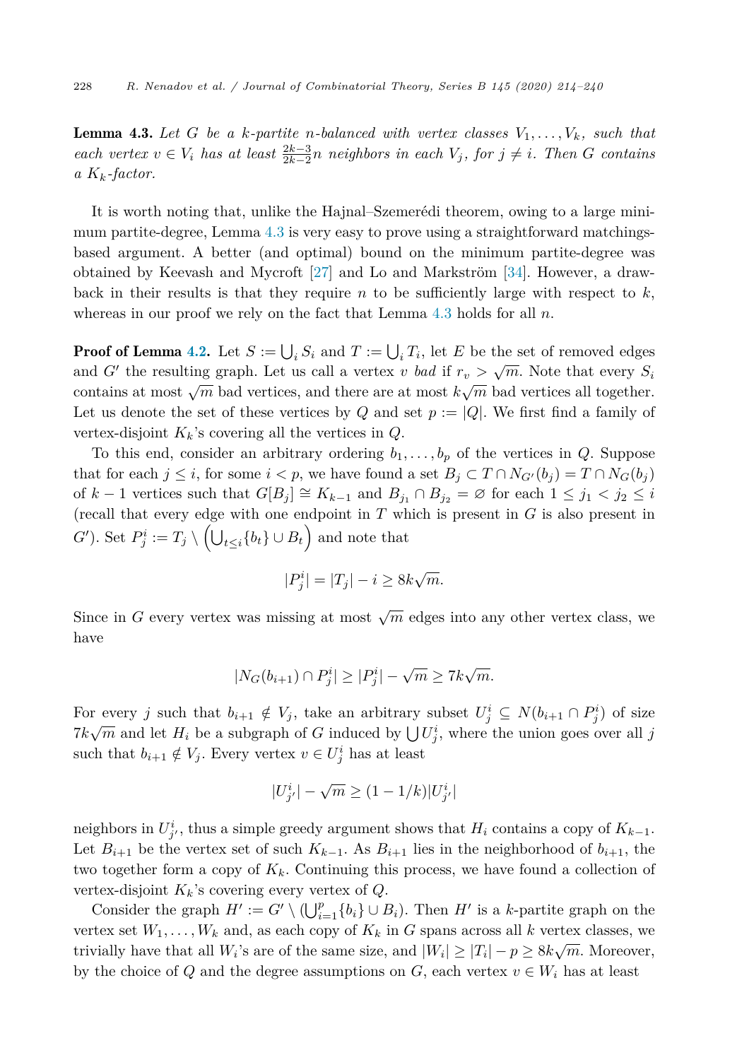<span id="page-14-0"></span>**Lemma 4.3.** Let G be a k-partite *n*-balanced with vertex classes  $V_1, \ldots, V_k$ , such that each vertex  $v \in V_i$  has at least  $\frac{2k-3}{2k-2}n$  neighbors in each  $V_j$ , for  $j \neq i$ . Then G contains *a Kk-factor.*

It is worth noting that, unlike the Hajnal–Szemerédi theorem, owing to a large minimum partite-degree, Lemma 4.3 is very easy to prove using a straightforward matchingsbased argument. A better (and optimal) bound on the minimum partite-degree was obtained by Keevash and Mycroft [[27\]](#page-25-0) and Lo and Markström [\[34](#page-26-0)]. However, a drawback in their results is that they require  $n$  to be sufficiently large with respect to  $k$ , whereas in our proof we rely on the fact that Lemma 4.3 holds for all *n*.

**Proof of Lemma [4.2](#page-13-0).** Let  $S := \bigcup_i S_i$  and  $T := \bigcup_i T_i$ , let  $E$  be the set of removed edges and *G*<sup> $\prime$ </sup> the resulting graph. Let us call a vertex *v bad* if  $r_v > \sqrt{m}$ . Note that every  $S_i$ contains at most  $\sqrt{m}$  bad vertices, and there are at most  $k\sqrt{m}$  bad vertices all together. Let us denote the set of these vertices by *Q* and set  $p := |Q|$ . We first find a family of vertex-disjoint  $K_k$ 's covering all the vertices in  $Q$ .

To this end, consider an arbitrary ordering  $b_1, \ldots, b_p$  of the vertices in *Q*. Suppose that for each  $j \leq i$ , for some  $i < p$ , we have found a set  $B_j \subset T \cap N_{G'}(b_j) = T \cap N_G(b_j)$ of  $k-1$  vertices such that  $G[B_j] \cong K_{k-1}$  and  $B_{j_1} \cap B_{j_2} = \emptyset$  for each  $1 \leq j_1 < j_2 \leq i$ (recall that every edge with one endpoint in *T* which is present in *G* is also present in *G*'). Set  $P^i_j := T_j \setminus \left( \bigcup_{t \leq i} \{b_t\} \cup B_t \right)$  and note that

$$
|P_j^i| = |T_j| - i \ge 8k\sqrt{m}.
$$

Since in *G* every vertex was missing at most  $\sqrt{m}$  edges into any other vertex class, we have

$$
|N_G(b_{i+1}) \cap P_j^i| \ge |P_j^i| - \sqrt{m} \ge 7k\sqrt{m}.
$$

For every *j* such that  $b_{i+1} \notin V_j$ , take an arbitrary subset  $U_j^i \subseteq N(b_{i+1} \cap P_j^i)$  of size  $7k\sqrt{m}$  and let  $H_i$  be a subgraph of *G* induced by  $\bigcup U_j^i$ , where the union goes over all *j* such that  $b_{i+1} \notin V_j$ . Every vertex  $v \in U_j^i$  has at least

$$
|U^i_{j'}| - \sqrt{m} \geq (1-1/k)|U^i_{j'}|
$$

neighbors in  $U^i_j$ , thus a simple greedy argument shows that  $H_i$  contains a copy of  $K_{k-1}$ . Let  $B_{i+1}$  be the vertex set of such  $K_{k-1}$ . As  $B_{i+1}$  lies in the neighborhood of  $b_{i+1}$ , the two together form a copy of  $K_k$ . Continuing this process, we have found a collection of vertex-disjoint *Kk*'s covering every vertex of *Q*.

Consider the graph  $H' := G' \setminus (\bigcup_{i=1}^p \{b_i\} \cup B_i)$ . Then  $H'$  is a *k*-partite graph on the vertex set  $W_1, \ldots, W_k$  and, as each copy of  $K_k$  in *G* spans across all *k* vertex classes, we trivially have that all  $W_i$ 's are of the same size, and  $|W_i| \geq |T_i| - p \geq 8k\sqrt{m}$ . Moreover, by the choice of Q and the degree assumptions on  $G$ , each vertex  $v \in W_i$  has at least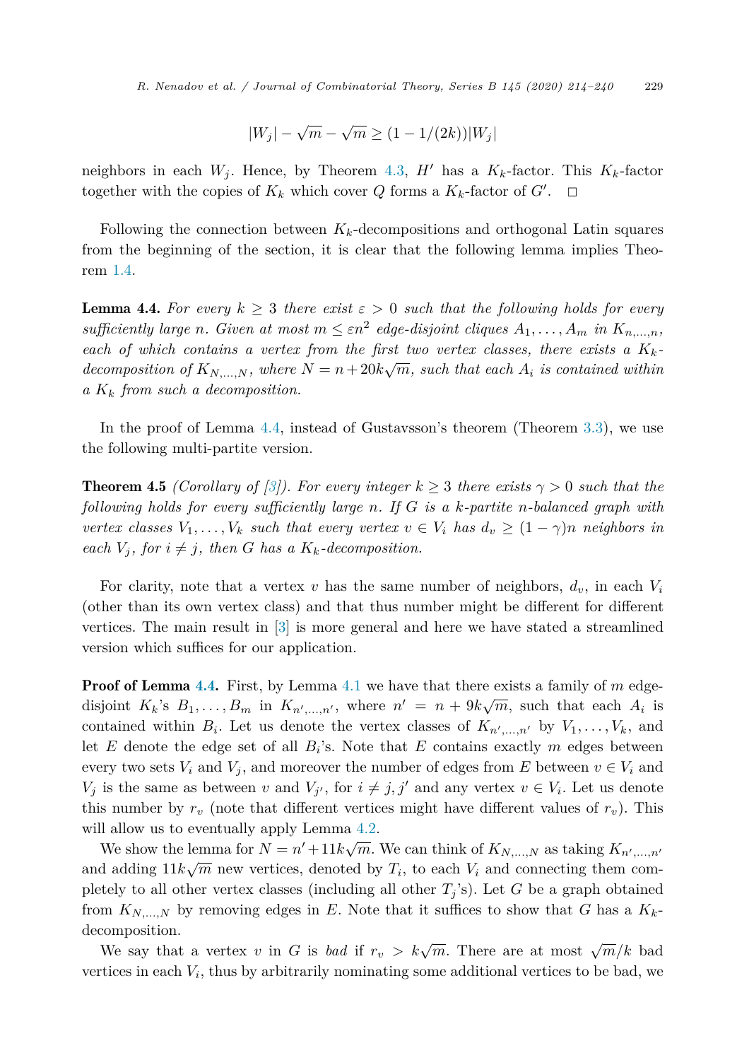$$
|W_j|-\sqrt{m}-\sqrt{m}\geq (1-1/(2k))|W_j|
$$

<span id="page-15-0"></span>neighbors in each  $W_j$ . Hence, by Theorem [4.3](#page-14-0),  $H'$  has a  $K_k$ -factor. This  $K_k$ -factor together with the copies of  $K_k$  which cover  $Q$  forms a  $K_k$ -factor of  $G'$ .  $\Box$ 

Following the connection between  $K_k$ -decompositions and orthogonal Latin squares from the beginning of the section, it is clear that the following lemma implies Theorem [1.4](#page-3-0).

**Lemma 4.4.** For every  $k \geq 3$  there exist  $\varepsilon > 0$  such that the following holds for every sufficiently large n. Given at most  $m \leq \varepsilon n^2$  edge-disjoint cliques  $A_1, \ldots, A_m$  in  $K_{n,\ldots,n}$ , *each of which contains a vertex from the first two vertex classes, there exists*  $a K_k$ *decomposition* of  $K_{N,...,N}$ , where  $N = n + 20k\sqrt{m}$ , such that each  $A_i$  is contained within *a K<sup>k</sup> from such a decomposition.*

In the proof of Lemma 4.4, instead of Gustavsson's theorem (Theorem [3.3](#page-8-0)), we use the following multi-partite version.

**Theorem 4.5** *(Corollary of [[3\]](#page-25-0)).* For *every integer*  $k \geq 3$  *there exists*  $\gamma > 0$  *such that the following holds for every sufficiently large n. If G is a k-partite n-balanced graph with* vertex classes  $V_1, \ldots, V_k$  such that every vertex  $v \in V_i$  has  $d_v \geq (1 - \gamma)n$  neighbors in *each*  $V_i$ *, for*  $i \neq j$ *, then G has a*  $K_k$ *-decomposition.* 

For clarity, note that a vertex  $v$  has the same number of neighbors,  $d_v$ , in each  $V_i$ (other than its own vertex class) and that thus number might be different for different vertices. The main result in [[3\]](#page-25-0) is more general and here we have stated a streamlined version which suffices for our application.

**Proof of Lemma 4.4.** First, by Lemma [4.1](#page-12-0) we have that there exists a family of m edgedisjoint  $K_k$ 's  $B_1, \ldots, B_m$  in  $K_{n',\ldots,n'}$ , where  $n' = n + 9k\sqrt{m}$ , such that each  $A_i$  is contained within  $B_i$ . Let us denote the vertex classes of  $K_{n',...,n'}$  by  $V_1,\ldots,V_k$ , and let *E* denote the edge set of all *Bi*'s. Note that *E* contains exactly *m* edges between every two sets  $V_i$  and  $V_j$ , and moreover the number of edges from E between  $v \in V_i$  and *V*<sup>*j*</sup> is the same as between *v* and *V*<sup>*j*</sup>, for  $i \neq j, j'$  and any vertex  $v \in V_i$ . Let us denote this number by  $r_v$  (note that different vertices might have different values of  $r_v$ ). This will allow us to eventually apply Lemma  $4.2$ .

We show the lemma for  $N = n' + 11k\sqrt{m}$ . We can think of  $K_{N,\dots,N}$  as taking  $K_{n',\dots,n'}$ and adding  $11k\sqrt{m}$  new vertices, denoted by  $T_i$ , to each  $V_i$  and connecting them completely to all other vertex classes (including all other  $T_j$ 's). Let  $G$  be a graph obtained from  $K_{N,...,N}$  by removing edges in *E*. Note that it suffices to show that *G* has a  $K_k$ decomposition.

We say that a vertex *v* in *G* is *bad* if  $r_v > k\sqrt{m}$ . There are at most  $\sqrt{m}/k$  bad vertices in each  $V_i$ , thus by arbitrarily nominating some additional vertices to be bad, we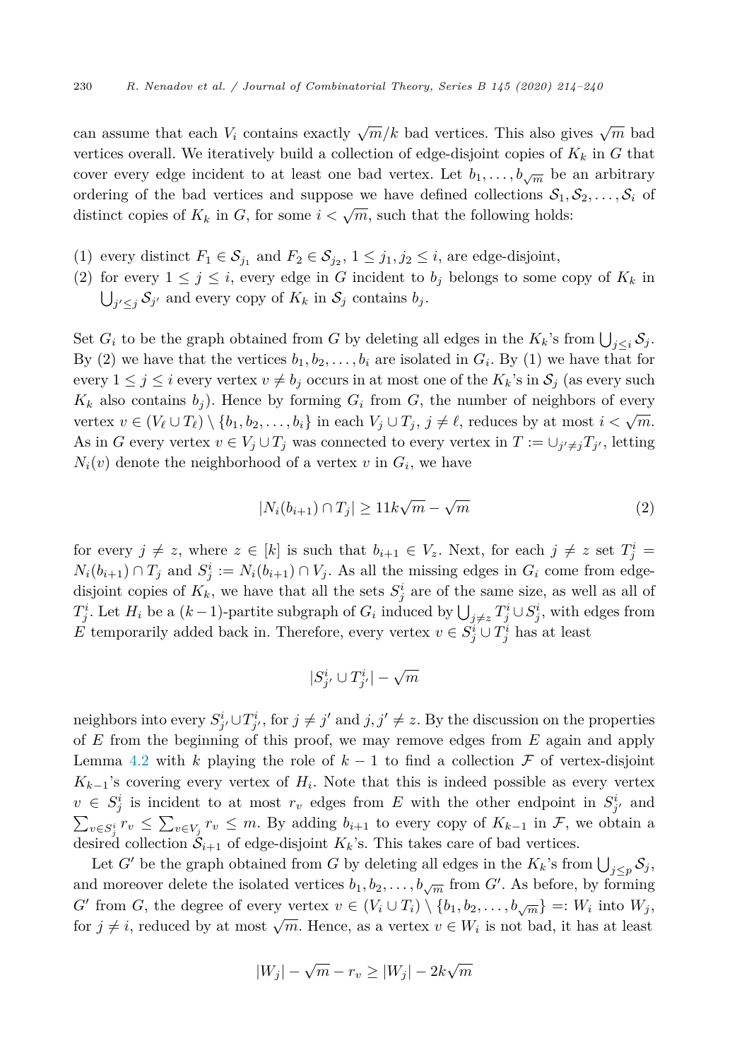can assume that each  $V_i$  contains exactly  $\sqrt{m}/k$  bad vertices. This also gives  $\sqrt{m}$  bad vertices overall. We iteratively build a collection of edge-disjoint copies of  $K_k$  in  $G$  that cover every edge incident to at least one bad vertex. Let  $b_1, \ldots, b_{\sqrt{m}}$  be an arbitrary ordering of the bad vertices and suppose we have defined collections  $S_1, S_2, \ldots, S_i$  of distinct copies of  $K_k$  in G, for some  $i < \sqrt{m}$ , such that the following holds:

- (1) every distinct  $F_1 \in S_{j_1}$  and  $F_2 \in S_{j_2}$ ,  $1 \leq j_1, j_2 \leq i$ , are edge-disjoint,
- (2) for every  $1 \leq j \leq i$ , every edge in *G* incident to  $b_j$  belongs to some copy of  $K_k$  in  $\bigcup_{j' \leq j} S_{j'}$  and every copy of  $K_k$  in  $S_j$  contains  $b_j$ .

Set  $G_i$  to be the graph obtained from  $G$  by deleting all edges in the  $K_k$ 's from  $\bigcup_{j\leq i} S_j$ . By (2) we have that the vertices  $b_1, b_2, \ldots, b_i$  are isolated in  $G_i$ . By (1) we have that for every  $1 \leq j \leq i$  every vertex  $v \neq b_j$  occurs in at most one of the  $K_k$ 's in  $S_j$  (as every such  $K_k$  also contains  $b_j$ ). Hence by forming  $G_i$  from  $G$ , the number of neighbors of every vertex  $v \in (V_{\ell} \cup T_{\ell}) \setminus \{b_1, b_2, \ldots, b_i\}$  in each  $V_j \cup T_j$ ,  $j \neq \ell$ , reduces by at most  $i < \sqrt{m}$ . As in *G* every vertex  $v \in V_j \cup T_j$  was connected to every vertex in  $T := \cup_{j' \neq j} T_{j'}$ , letting  $N_i(v)$  denote the neighborhood of a vertex *v* in  $G_i$ , we have

$$
|N_i(b_{i+1}) \cap T_j| \ge 11k\sqrt{m} - \sqrt{m}
$$
 (2)

for every  $j \neq z$ , where  $z \in [k]$  is such that  $b_{i+1} \in V_z$ . Next, for each  $j \neq z$  set  $T_j^i =$  $N_i(b_{i+1}) \cap T_j$  and  $S_j^i := N_i(b_{i+1}) \cap V_j$ . As all the missing edges in  $G_i$  come from edgedisjoint copies of  $K_k$ , we have that all the sets  $S_j^i$  are of the same size, as well as all of *T*<sup>*i*</sup> *j* + *Z*<sup>*i*</sup> *l*</sub>  $\cup$  *j* + *z*<sup>*T*</sup><sup>*j*</sup> *j* + *z*<sup>*T*</sup><sup>*j*</sup> ∪ *S*<sup>*i*</sup><sub>*j*</sub>, with edges from *E* temporarily added back in. Therefore, every vertex  $v \in S^i_j \cup T^i_j$  has at least

$$
|S^i_{j'} \cup T^i_{j'}| - \sqrt{m}
$$

neighbors into every  $S^i_{j'} \cup T^i_{j'}$ , for  $j \neq j'$  and  $j, j' \neq z$ . By the discussion on the properties of *E* from the beginning of this proof, we may remove edges from *E* again and apply Lemma [4.2](#page-13-0) with *k* playing the role of  $k-1$  to find a collection  $\mathcal F$  of vertex-disjoint  $K_{k-1}$ 's covering every vertex of  $H_i$ . Note that this is indeed possible as every vertex  $v \in S_j^i$  is incident to at most  $r_v$  edges from *E* with the other endpoint in  $S_{j'}^i$  and  $\sum_{v \in S_j^i} r_v \leq \sum_{v \in V_j} r_v \leq m$ . By adding  $b_{i+1}$  to every copy of  $K_{k-1}$  in  $\mathcal{F}$ , we obtain a desired collection  $S_{i+1}$  of edge-disjoint  $K_k$ 's. This takes care of bad vertices.

Let *G*<sup> $\prime$ </sup> be the graph obtained from *G* by deleting all edges in the  $K_k$ 's from  $\bigcup_{j\leq p} S_j$ , and moreover delete the isolated vertices  $b_1, b_2, \ldots, b_{\sqrt{m}}$  from  $G'$ . As before, by forming  $G'$  from *G*, the degree of every vertex  $v \in (V_i \cup T_i) \setminus \{b_1, b_2, \ldots, b_{\sqrt{m}}\} =: W_i$  into  $W_j$ , for  $j \neq i$ , reduced by at most  $\sqrt{m}$ . Hence, as a vertex  $v \in W_i$  is not bad, it has at least

$$
|W_j| - \sqrt{m} - r_v \ge |W_j| - 2k\sqrt{m}
$$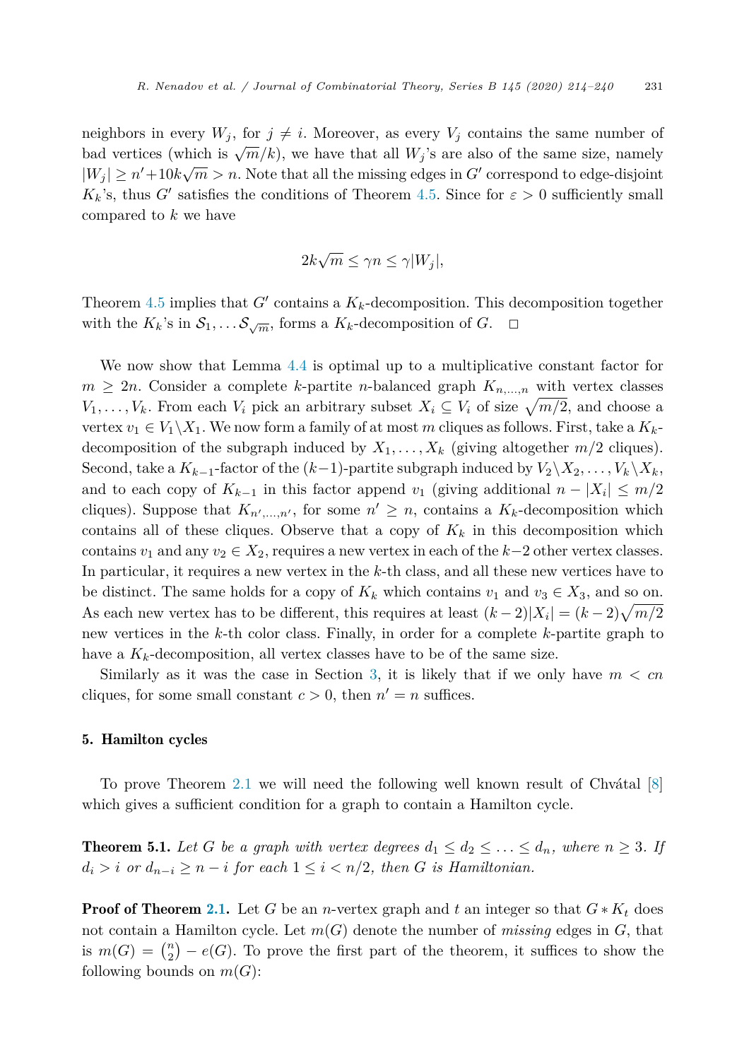<span id="page-17-0"></span>neighbors in every  $W_j$ , for  $j \neq i$ . Moreover, as every  $V_j$  contains the same number of bad vertices (which is  $\sqrt{m}/k$ ), we have that all  $W_i$ 's are also of the same size, namely  $|W_j| \ge n' + 10k\sqrt{m} > n$ . Note that all the missing edges in  $G'$  correspond to edge-disjoint  $K_k$ 's, thus *G*<sup> $\prime$ </sup> satisfies the conditions of Theorem [4.5.](#page-15-0) Since for  $\varepsilon > 0$  sufficiently small compared to *k* we have

$$
2k\sqrt{m} \le \gamma n \le \gamma |W_j|,
$$

Theorem [4.5](#page-15-0) implies that  $G'$  contains a  $K_k$ -decomposition. This decomposition together with the  $K_k$ 's in  $S_1, \ldots S_{\sqrt{m}}$ , forms a  $K_k$ -decomposition of  $G$ .  $\Box$ 

We now show that Lemma [4.4](#page-15-0) is optimal up to a multiplicative constant factor for  $m \geq 2n$ . Consider a complete *k*-partite *n*-balanced graph  $K_{n,\dots,n}$  with vertex classes *V*<sub>1</sub>*,*  $\dots$ *, V*<sub>*k*</sub>. From each *V*<sup>*i*</sup> pick an arbitrary subset  $X_i \subseteq V_i$  of size  $\sqrt{m/2}$ , and choose a vertex  $v_1 \in V_1 \backslash X_1$ . We now form a family of at most *m* cliques as follows. First, take a  $K_k$ decomposition of the subgraph induced by  $X_1, \ldots, X_k$  (giving altogether  $m/2$  cliques). Second, take a  $K_{k-1}$ -factor of the  $(k-1)$ -partite subgraph induced by  $V_2 \backslash X_2, \ldots, V_k \backslash X_k$ , and to each copy of  $K_{k-1}$  in this factor append  $v_1$  (giving additional  $n - |X_i| \leq m/2$ cliques). Suppose that  $K_{n',...,n'}$ , for some  $n' \geq n$ , contains a  $K_k$ -decomposition which contains all of these cliques. Observe that a copy of  $K_k$  in this decomposition which contains  $v_1$  and any  $v_2 \in X_2$ , requires a new vertex in each of the  $k-2$  other vertex classes. In particular, it requires a new vertex in the *k*-th class, and all these new vertices have to be distinct. The same holds for a copy of  $K_k$  which contains  $v_1$  and  $v_3 \in X_3$ , and so on. As each new vertex has to be different, this requires at least  $(k-2)|X_i| = (k-2)\sqrt{m/2}$ new vertices in the *k*-th color class. Finally, in order for a complete *k*-partite graph to have a  $K_k$ -decomposition, all vertex classes have to be of the same size.

Similarly as it was the case in Section [3,](#page-6-0) it is likely that if we only have  $m < cn$ cliques, for some small constant  $c > 0$ , then  $n' = n$  suffices.

## 5. Hamilton cycles

To prove Theorem [2.1](#page-4-0) we will need the following well known result of Chvátal [\[8](#page-25-0)] which gives a sufficient condition for a graph to contain a Hamilton cycle.

**Theorem 5.1.** Let G be a graph with vertex degrees  $d_1 \leq d_2 \leq \ldots \leq d_n$ , where  $n \geq 3$ . If  $d_i > i$  *or*  $d_{n-i} \geq n-i$  *for each*  $1 \leq i < n/2$ *, then G is Hamiltonian.* 

**Proof of Theorem [2.1](#page-4-0).** Let *G* be an *n*-vertex graph and *t* an integer so that  $G * K_t$  does not contain a Hamilton cycle. Let *m*(*G*) denote the number of *missing* edges in *G*, that is  $m(G) = {n \choose 2} - e(G)$ . To prove the first part of the theorem, it suffices to show the following bounds on  $m(G)$ :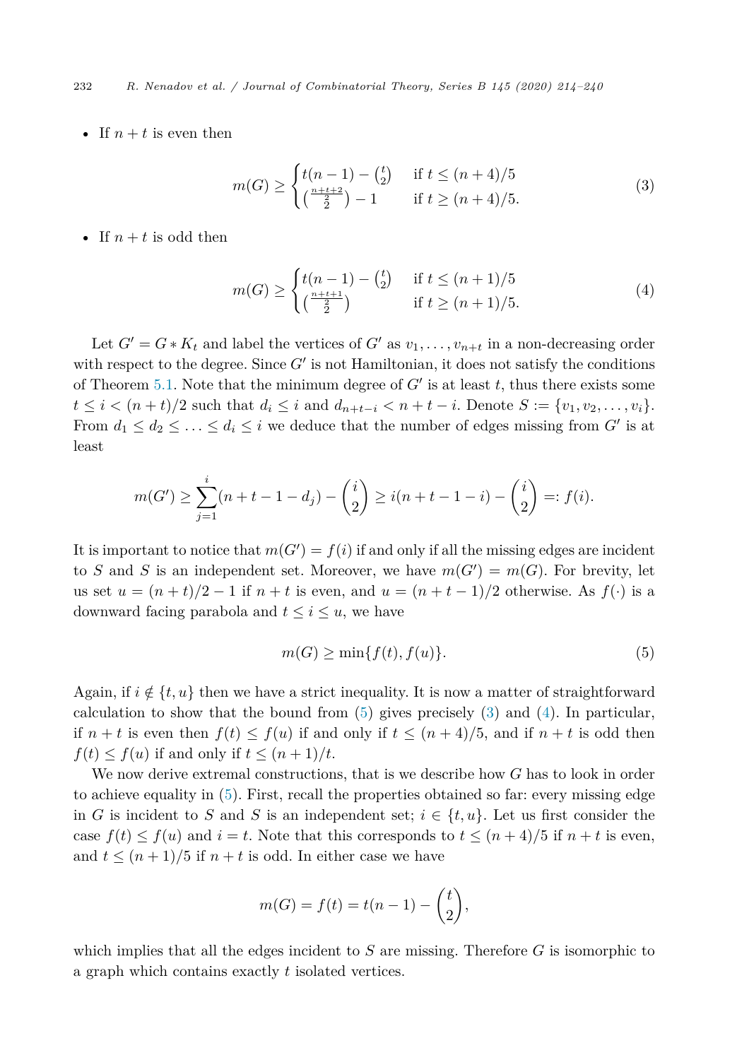232 *R. Nenadov et al. / Journal of Combinatorial Theory, Series B 145 (2020) 214–240*

• If  $n + t$  is even then

$$
m(G) \ge \begin{cases} t(n-1) - {t \choose 2} & \text{if } t \le (n+4)/5\\ {\frac{n+t+2}{2}} - 1 & \text{if } t \ge (n+4)/5. \end{cases}
$$
(3)

• If  $n + t$  is odd then

$$
m(G) \ge \begin{cases} t(n-1) - {t \choose 2} & \text{if } t \le (n+1)/5\\ {\frac{n+t+1}{2}} & \text{if } t \ge (n+1)/5. \end{cases}
$$
(4)

Let  $G' = G * K_t$  and label the vertices of  $G'$  as  $v_1, \ldots, v_{n+t}$  in a non-decreasing order with respect to the degree. Since  $G'$  is not Hamiltonian, it does not satisfy the conditions of Theorem [5.1](#page-17-0). Note that the minimum degree of  $G'$  is at least *t*, thus there exists some  $t \le i < (n+t)/2$  such that  $d_i \le i$  and  $d_{n+t-i} < n+t-i$ . Denote  $S := \{v_1, v_2, \ldots, v_i\}$ . From  $d_1 \leq d_2 \leq \ldots \leq d_i \leq i$  we deduce that the number of edges missing from  $G'$  is at least

$$
m(G') \ge \sum_{j=1}^{i} (n+t-1-d_j) - {i \choose 2} \ge i(n+t-1-i) - {i \choose 2} =: f(i).
$$

It is important to notice that  $m(G') = f(i)$  if and only if all the missing edges are incident to *S* and *S* is an independent set. Moreover, we have  $m(G') = m(G)$ . For brevity, let us set  $u = (n + t)/2 - 1$  if  $n + t$  is even, and  $u = (n + t - 1)/2$  otherwise. As  $f(\cdot)$  is a downward facing parabola and  $t \leq i \leq u$ , we have

$$
m(G) \ge \min\{f(t), f(u)\}.\tag{5}
$$

Again, if  $i \notin \{t, u\}$  then we have a strict inequality. It is now a matter of straightforward calculation to show that the bound from  $(5)$  gives precisely  $(3)$  and  $(4)$ . In particular, if  $n + t$  is even then  $f(t) \leq f(u)$  if and only if  $t \leq (n + 4)/5$ , and if  $n + t$  is odd then  $f(t) \leq f(u)$  if and only if  $t \leq (n+1)/t$ .

We now derive extremal constructions, that is we describe how *G* has to look in order to achieve equality in (5). First, recall the properties obtained so far: every missing edge in *G* is incident to *S* and *S* is an independent set;  $i \in \{t, u\}$ . Let us first consider the case  $f(t) \leq f(u)$  and  $i = t$ . Note that this corresponds to  $t \leq (n+4)/5$  if  $n+t$  is even, and  $t \leq (n+1)/5$  if  $n+t$  is odd. In either case we have

$$
m(G) = f(t) = t(n-1) - {t \choose 2},
$$

which implies that all the edges incident to *S* are missing. Therefore *G* is isomorphic to a graph which contains exactly *t* isolated vertices.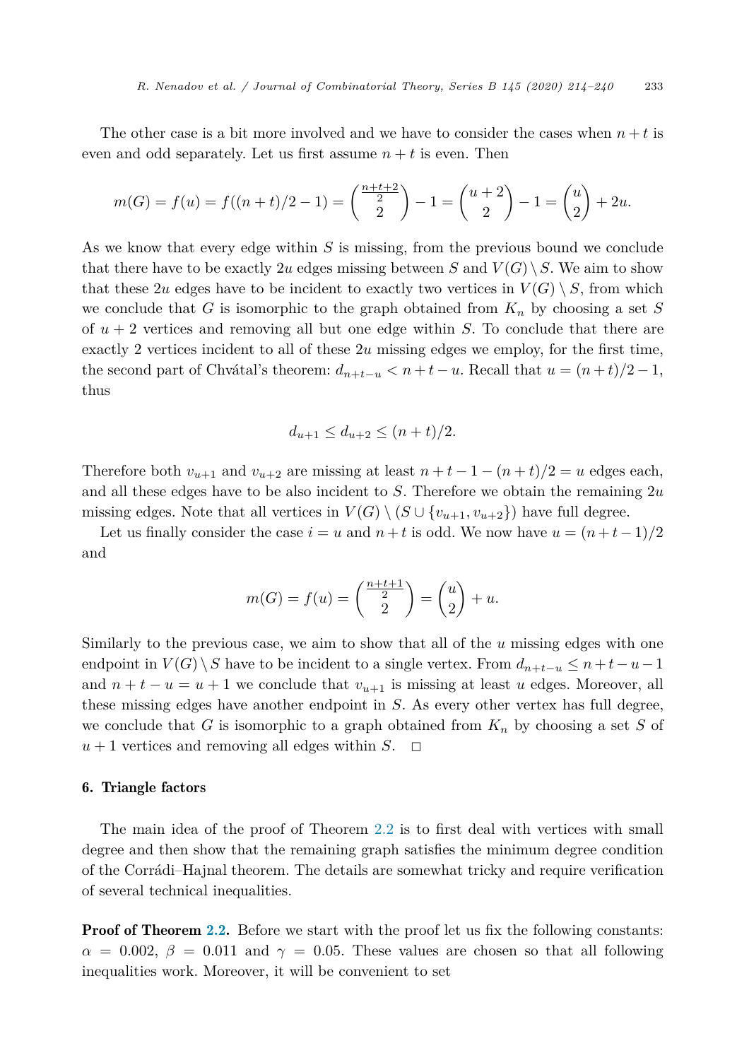<span id="page-19-0"></span>The other case is a bit more involved and we have to consider the cases when  $n + t$  is even and odd separately. Let us first assume  $n + t$  is even. Then

$$
m(G) = f(u) = f((n + t)/2 - 1) = \binom{\frac{n+t+2}{2}}{2} - 1 = \binom{u+2}{2} - 1 = \binom{u}{2} + 2u.
$$

As we know that every edge within *S* is missing, from the previous bound we conclude that there have to be exactly 2*u* edges missing between *S* and  $V(G) \setminus S$ . We aim to show that these 2*u* edges have to be incident to exactly two vertices in  $V(G) \setminus S$ , from which we conclude that *G* is isomorphic to the graph obtained from  $K_n$  by choosing a set *S* of *u* + 2 vertices and removing all but one edge within *S*. To conclude that there are exactly 2 vertices incident to all of these 2*u* missing edges we employ, for the first time, the second part of Chvátal's theorem:  $d_{n+t-u} < n+t-u$ . Recall that  $u = (n+t)/2-1$ , thus

$$
d_{u+1} \le d_{u+2} \le (n+t)/2.
$$

Therefore both  $v_{u+1}$  and  $v_{u+2}$  are missing at least  $n + t - 1 - (n + t)/2 = u$  edges each, and all these edges have to be also incident to *S*. Therefore we obtain the remaining 2*u* missing edges. Note that all vertices in  $V(G) \setminus (S \cup \{v_{u+1}, v_{u+2}\})$  have full degree.

Let us finally consider the case  $i = u$  and  $n + t$  is odd. We now have  $u = (n + t - 1)/2$ and

$$
m(G) = f(u) = \binom{\frac{n+t+1}{2}}{2} = \binom{u}{2} + u.
$$

Similarly to the previous case, we aim to show that all of the *u* missing edges with one endpoint in  $V(G) \setminus S$  have to be incident to a single vertex. From  $d_{n+t-u} \leq n+t-u-1$ and  $n + t - u = u + 1$  we conclude that  $v_{u+1}$  is missing at least *u* edges. Moreover, all these missing edges have another endpoint in *S*. As every other vertex has full degree, we conclude that *G* is isomorphic to a graph obtained from *K<sup>n</sup>* by choosing a set *S* of  $u + 1$  vertices and removing all edges within *S*.  $\Box$ 

## 6. Triangle factors

The main idea of the proof of Theorem [2.2](#page-5-0) is to first deal with vertices with small degree and then show that the remaining graph satisfies the minimum degree condition of the Corrádi–Hajnal theorem. The details are somewhat tricky and require verification of several technical inequalities.

**Proof of Theorem [2.2](#page-5-0).** Before we start with the proof let us fix the following constants:  $\alpha = 0.002, \beta = 0.011$  and  $\gamma = 0.05$ . These values are chosen so that all following inequalities work. Moreover, it will be convenient to set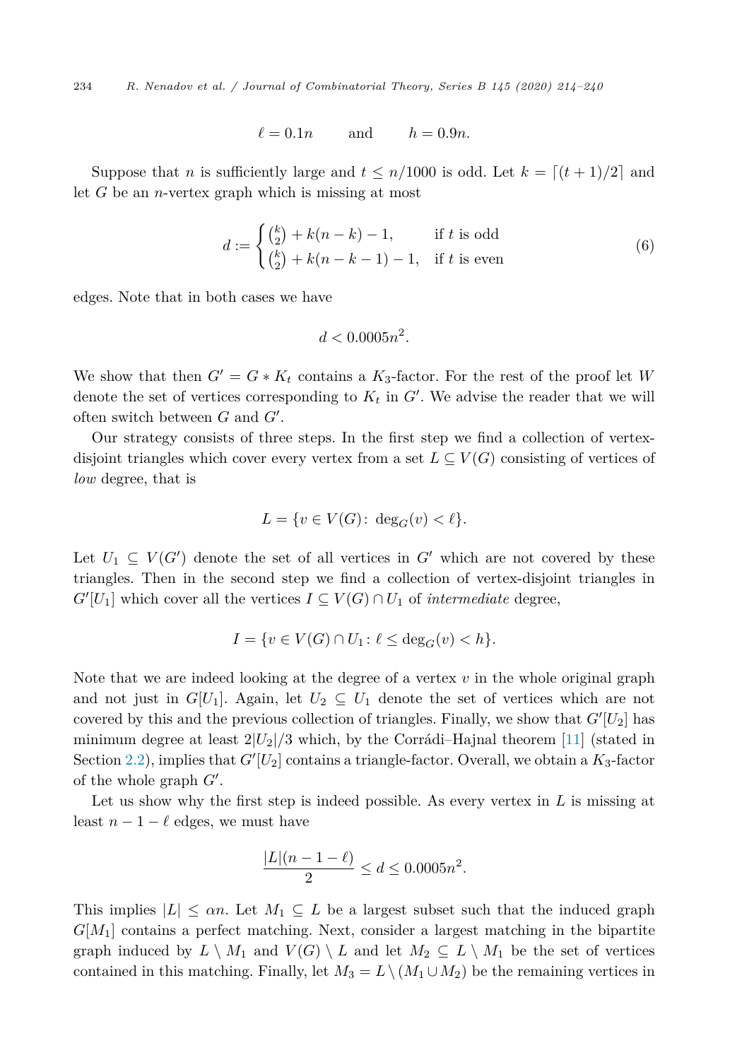<span id="page-20-0"></span>234 *R. Nenadov et al. / Journal of Combinatorial Theory, Series B 145 (2020) 214–240*

$$
\ell = 0.1n \qquad \text{and} \qquad h = 0.9n.
$$

Suppose that *n* is sufficiently large and  $t \leq n/1000$  is odd. Let  $k = \lfloor (t+1)/2 \rfloor$  and let *G* be an *n*-vertex graph which is missing at most

$$
d := \begin{cases} {k \choose 2} + k(n-k) - 1, & \text{if } t \text{ is odd} \\ {k \choose 2} + k(n-k-1) - 1, & \text{if } t \text{ is even} \end{cases}
$$
(6)

edges. Note that in both cases we have

$$
d < 0.0005n^2.
$$

We show that then  $G' = G * K_t$  contains a  $K_3$ -factor. For the rest of the proof let *W* denote the set of vertices corresponding to  $K_t$  in  $G'$ . We advise the reader that we will often switch between  $G$  and  $G'$ .

Our strategy consists of three steps. In the first step we find a collection of vertexdisjoint triangles which cover every vertex from a set  $L \subseteq V(G)$  consisting of vertices of *low* degree, that is

$$
L = \{ v \in V(G) \colon \deg_G(v) < \ell \}.
$$

Let  $U_1 \subseteq V(G')$  denote the set of all vertices in  $G'$  which are not covered by these triangles. Then in the second step we find a collection of vertex-disjoint triangles in  $G'[U_1]$  which cover all the vertices  $I \subseteq V(G) \cap U_1$  of *intermediate* degree,

$$
I = \{ v \in V(G) \cap U_1 \colon \ell \le \deg_G(v) < h \}.
$$

Note that we are indeed looking at the degree of a vertex *v* in the whole original graph and not just in  $G[U_1]$ . Again, let  $U_2 \subseteq U_1$  denote the set of vertices which are not covered by this and the previous collection of triangles. Finally, we show that  $G'[U_2]$  has minimum degree at least  $2|U_2|/3$  which, by the Corrádi–Hajnal theorem [\[11\]](#page-25-0) (stated in Section [2.2\)](#page-5-0), implies that  $G'[U_2]$  contains a triangle-factor. Overall, we obtain a  $K_3$ -factor of the whole graph  $G'$ .

Let us show why the first step is indeed possible. As every vertex in *L* is missing at least  $n-1-\ell$  edges, we must have

$$
\frac{|L|(n-1-\ell)}{2} \le d \le 0.0005n^2.
$$

This implies  $|L| \leq \alpha n$ . Let  $M_1 \subseteq L$  be a largest subset such that the induced graph *G*[*M*1] contains a perfect matching. Next, consider a largest matching in the bipartite graph induced by  $L \setminus M_1$  and  $V(G) \setminus L$  and let  $M_2 \subseteq L \setminus M_1$  be the set of vertices contained in this matching. Finally, let  $M_3 = L \setminus (M_1 \cup M_2)$  be the remaining vertices in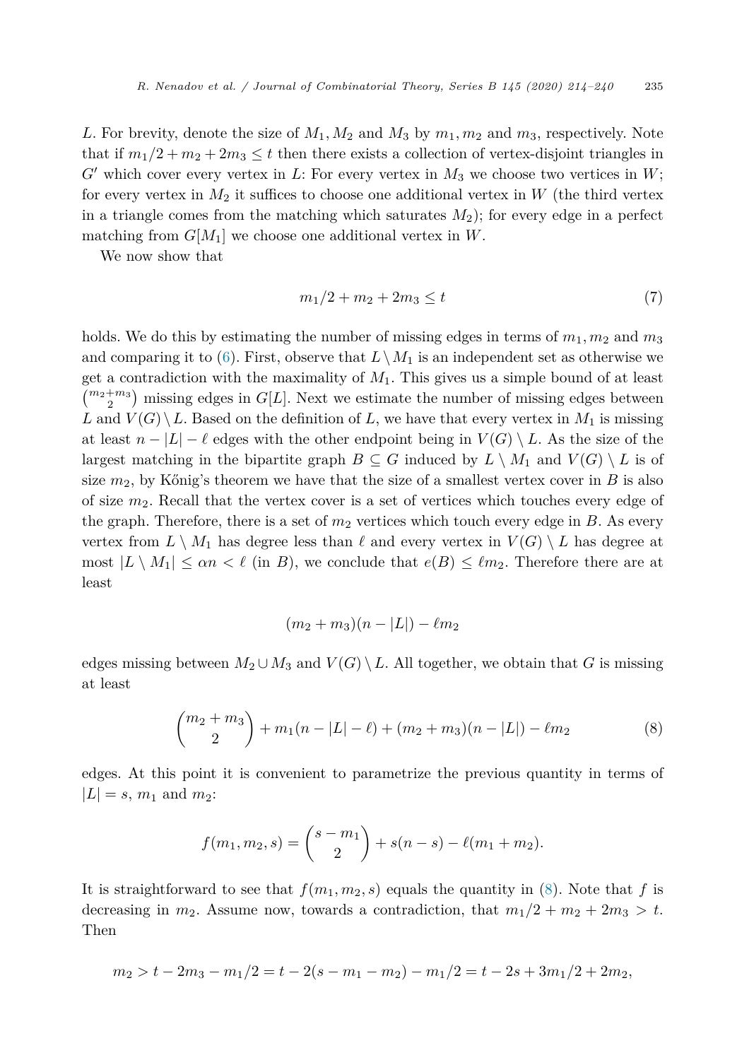<span id="page-21-0"></span>*L*. For brevity, denote the size of  $M_1, M_2$  and  $M_3$  by  $m_1, m_2$  and  $m_3$ , respectively. Note that if  $m_1/2 + m_2 + 2m_3 \le t$  then there exists a collection of vertex-disjoint triangles in  $G'$  which cover every vertex in *L*: For every vertex in  $M_3$  we choose two vertices in  $W$ ; for every vertex in  $M_2$  it suffices to choose one additional vertex in  $W$  (the third vertex in a triangle comes from the matching which saturates  $M_2$ ); for every edge in a perfect matching from  $G[M_1]$  we choose one additional vertex in W.

We now show that

$$
m_1/2 + m_2 + 2m_3 \le t \tag{7}
$$

holds. We do this by estimating the number of missing edges in terms of  $m_1, m_2$  and  $m_3$ and comparing it to ([6\)](#page-20-0). First, observe that  $L\setminus M_1$  is an independent set as otherwise we get a contradiction with the maximality of *M*1. This gives us a simple bound of at least  $\binom{m_2+m_3}{2}$  missing edges in *G*[*L*]. Next we estimate the number of missing edges between *L* and  $V(G) \setminus L$ . Based on the definition of *L*, we have that every vertex in  $M_1$  is missing at least  $n - |L| - \ell$  edges with the other endpoint being in  $V(G) \setminus L$ . As the size of the largest matching in the bipartite graph  $B \subseteq G$  induced by  $L \setminus M_1$  and  $V(G) \setminus L$  is of size  $m_2$ , by Kőnig's theorem we have that the size of a smallest vertex cover in *B* is also of size *m*2. Recall that the vertex cover is a set of vertices which touches every edge of the graph. Therefore, there is a set of  $m<sub>2</sub>$  vertices which touch every edge in  $B$ . As every vertex from  $L \setminus M_1$  has degree less than  $\ell$  and every vertex in  $V(G) \setminus L$  has degree at most  $|L \setminus M_1| \le \alpha n < \ell$  (in *B*), we conclude that  $e(B) \le \ell m_2$ . Therefore there are at least

$$
(m_2 + m_3)(n - |L|) - \ell m_2
$$

edges missing between  $M_2 \cup M_3$  and  $V(G) \setminus L$ . All together, we obtain that *G* is missing at least

$$
{m_2 + m_3 \choose 2} + m_1(n - |L| - \ell) + (m_2 + m_3)(n - |L|) - \ell m_2
$$
 (8)

edges. At this point it is convenient to parametrize the previous quantity in terms of  $|L| = s$ ,  $m_1$  and  $m_2$ :

$$
f(m_1, m_2, s) = {s - m_1 \choose 2} + s(n - s) - \ell(m_1 + m_2).
$$

It is straightforward to see that  $f(m_1, m_2, s)$  equals the quantity in (8). Note that *f* is decreasing in  $m_2$ . Assume now, towards a contradiction, that  $m_1/2 + m_2 + 2m_3 > t$ . Then

$$
m_2 > t - 2m_3 - m_1/2 = t - 2(s - m_1 - m_2) - m_1/2 = t - 2s + 3m_1/2 + 2m_2,
$$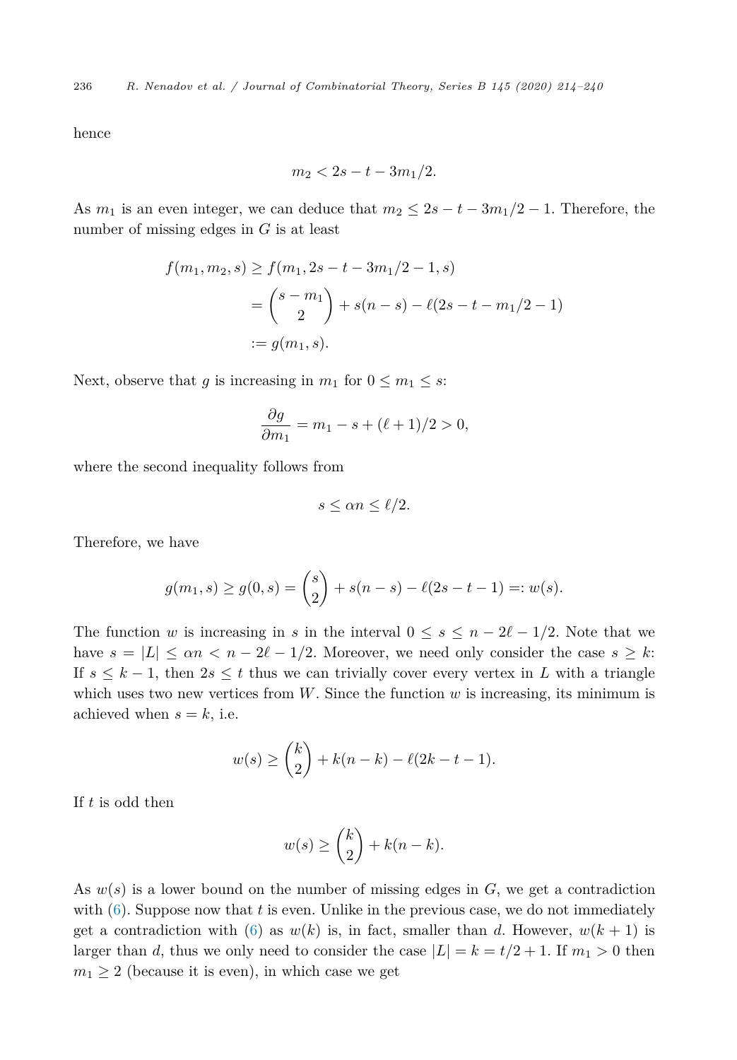236 *R. Nenadov et al. / Journal of Combinatorial Theory, Series B 145 (2020) 214–240*

hence

$$
m_2 < 2s - t - 3m_1/2.
$$

As  $m_1$  is an even integer, we can deduce that  $m_2 \leq 2s - t - 3m_1/2 - 1$ . Therefore, the number of missing edges in *G* is at least

$$
f(m_1, m_2, s) \ge f(m_1, 2s - t - 3m_1/2 - 1, s)
$$
  
=  $\binom{s - m_1}{2} + s(n - s) - \ell(2s - t - m_1/2 - 1)$   
 :=  $g(m_1, s)$ .

Next, observe that *g* is increasing in  $m_1$  for  $0 \leq m_1 \leq s$ :

$$
\frac{\partial g}{\partial m_1} = m_1 - s + (\ell + 1)/2 > 0,
$$

where the second inequality follows from

$$
s \le \alpha n \le \ell/2.
$$

Therefore, we have

$$
g(m_1, s) \ge g(0, s) = {s \choose 2} + s(n - s) - \ell(2s - t - 1) =: w(s).
$$

The function *w* is increasing in *s* in the interval  $0 \leq s \leq n - 2\ell - 1/2$ . Note that we have  $s = |L| \le \alpha n < n - 2\ell - 1/2$ . Moreover, we need only consider the case  $s \geq k$ : If  $s \leq k-1$ , then  $2s \leq t$  thus we can trivially cover every vertex in L with a triangle which uses two new vertices from  $W$ . Since the function  $w$  is increasing, its minimum is achieved when  $s = k$ , i.e.

$$
w(s) \geq {k \choose 2} + k(n-k) - \ell(2k-t-1).
$$

If *t* is odd then

$$
w(s) \ge \binom{k}{2} + k(n-k).
$$

As  $w(s)$  is a lower bound on the number of missing edges in  $G$ , we get a contradiction with  $(6)$  $(6)$ . Suppose now that *t* is even. Unlike in the previous case, we do not immediately get a contradiction with ([6\)](#page-20-0) as  $w(k)$  is, in fact, smaller than d. However,  $w(k+1)$  is larger than *d*, thus we only need to consider the case  $|L| = k = t/2 + 1$ . If  $m_1 > 0$  then  $m_1 \geq 2$  (because it is even), in which case we get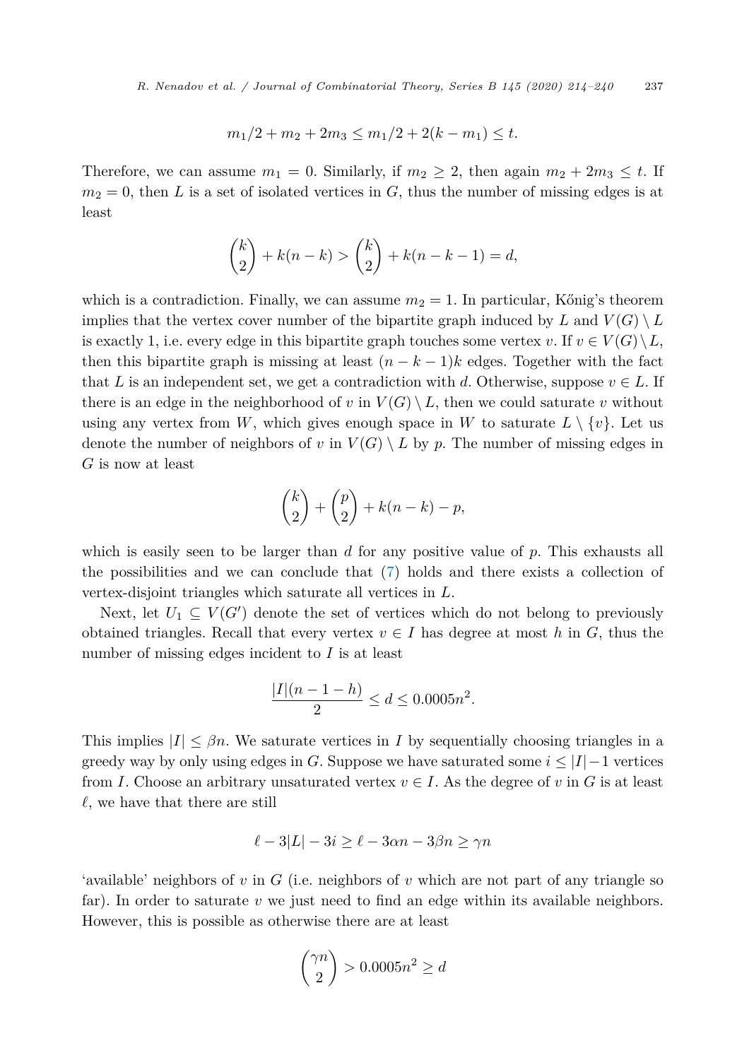$$
m_1/2 + m_2 + 2m_3 \le m_1/2 + 2(k - m_1) \le t.
$$

Therefore, we can assume  $m_1 = 0$ . Similarly, if  $m_2 \geq 2$ , then again  $m_2 + 2m_3 \leq t$ . If  $m_2 = 0$ , then *L* is a set of isolated vertices in *G*, thus the number of missing edges is at least

$$
\binom{k}{2} + k(n-k) > \binom{k}{2} + k(n-k-1) = d,
$$

which is a contradiction. Finally, we can assume  $m_2 = 1$ . In particular, Kőnig's theorem implies that the vertex cover number of the bipartite graph induced by L and  $V(G) \setminus L$ is exactly 1, i.e. every edge in this bipartite graph touches some vertex *v*. If  $v \in V(G) \setminus L$ , then this bipartite graph is missing at least  $(n - k - 1)k$  edges. Together with the fact that *L* is an independent set, we get a contradiction with *d*. Otherwise, suppose  $v \in L$ . If there is an edge in the neighborhood of *v* in  $V(G) \setminus L$ , then we could saturate *v* without using any vertex from W, which gives enough space in W to saturate  $L \setminus \{v\}$ . Let us denote the number of neighbors of *v* in  $V(G) \setminus L$  by *p*. The number of missing edges in *G* is now at least

$$
\binom{k}{2} + \binom{p}{2} + k(n-k) - p,
$$

which is easily seen to be larger than *d* for any positive value of *p*. This exhausts all the possibilities and we can conclude that ([7\)](#page-21-0) holds and there exists a collection of vertex-disjoint triangles which saturate all vertices in *L*.

Next, let  $U_1 \subseteq V(G')$  denote the set of vertices which do not belong to previously obtained triangles. Recall that every vertex  $v \in I$  has degree at most h in G, thus the number of missing edges incident to *I* is at least

$$
\frac{|I|(n-1-h)}{2} \le d \le 0.0005n^2.
$$

This implies  $|I| \leq \beta n$ . We saturate vertices in *I* by sequentially choosing triangles in a greedy way by only using edges in *G*. Suppose we have saturated some  $i \leq |I|-1$  vertices from *I*. Choose an arbitrary unsaturated vertex  $v \in I$ . As the degree of *v* in *G* is at least  $\ell$ , we have that there are still

$$
\ell - 3|L| - 3i \ge \ell - 3\alpha n - 3\beta n \ge \gamma n
$$

'available' neighbors of *v* in *G* (i.e. neighbors of *v* which are not part of any triangle so far). In order to saturate  $v$  we just need to find an edge within its available neighbors. However, this is possible as otherwise there are at least

$$
\binom{\gamma n}{2} > 0.0005n^2 \ge d
$$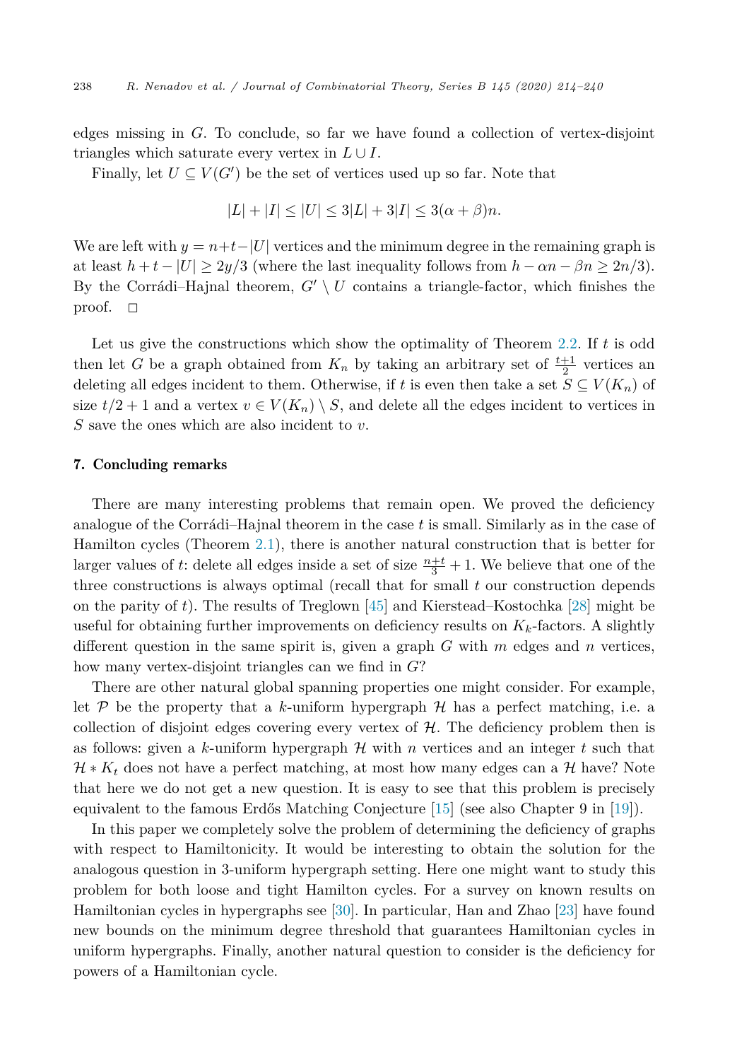<span id="page-24-0"></span>edges missing in *G*. To conclude, so far we have found a collection of vertex-disjoint triangles which saturate every vertex in  $L \cup I$ .

Finally, let  $U \subseteq V(G')$  be the set of vertices used up so far. Note that

$$
|L| + |I| \le |U| \le 3|L| + 3|I| \le 3(\alpha + \beta)n.
$$

We are left with  $y = n + t - |U|$  vertices and the minimum degree in the remaining graph is at least  $h + t - |U| \geq 2y/3$  (where the last inequality follows from  $h - \alpha n - \beta n \geq 2n/3$ ). By the Corrádi–Hajnal theorem,  $G' \setminus U$  contains a triangle-factor, which finishes the proof.  $\Box$ 

Let us give the constructions which show the optimality of Theorem [2.2](#page-5-0). If *t* is odd then let *G* be a graph obtained from  $K_n$  by taking an arbitrary set of  $\frac{t+1}{2}$  vertices an deleting all edges incident to them. Otherwise, if *t* is even then take a set  $S \subseteq V(K_n)$  of size  $t/2 + 1$  and a vertex  $v \in V(K_n) \setminus S$ , and delete all the edges incident to vertices in *S* save the ones which are also incident to *v*.

# 7. Concluding remarks

There are many interesting problems that remain open. We proved the deficiency analogue of the Corrádi–Hajnal theorem in the case *t* is small. Similarly as in the case of Hamilton cycles (Theorem [2.1](#page-4-0)), there is another natural construction that is better for larger values of *t*: delete all edges inside a set of size  $\frac{n+t}{3} + 1$ . We believe that one of the three constructions is always optimal (recall that for small *t* our construction depends on the parity of *t*). The results of Treglown [\[45](#page-26-0)] and Kierstead–Kostochka [[28\]](#page-25-0) might be useful for obtaining further improvements on deficiency results on  $K_k$ -factors. A slightly different question in the same spirit is, given a graph *G* with *m* edges and *n* vertices, how many vertex-disjoint triangles can we find in *G*?

There are other natural global spanning properties one might consider. For example, let  $P$  be the property that a k-uniform hypergraph  $H$  has a perfect matching, i.e. a collection of disjoint edges covering every vertex of  $H$ . The deficiency problem then is as follows: given a *k*-uniform hypergraph H with *n* vertices and an integer *t* such that  $\mathcal{H} * K_t$  does not have a perfect matching, at most how many edges can a  $\mathcal{H}$  have? Note that here we do not get a new question. It is easy to see that this problem is precisely equivalent to the famous Erdős Matching Conjecture [[15\]](#page-25-0) (see also Chapter 9 in [\[19\]](#page-25-0)).

In this paper we completely solve the problem of determining the deficiency of graphs with respect to Hamiltonicity. It would be interesting to obtain the solution for the analogous question in 3-uniform hypergraph setting. Here one might want to study this problem for both loose and tight Hamilton cycles. For a survey on known results on Hamiltonian cycles in hypergraphs see [\[30](#page-26-0)]. In particular, Han and Zhao [\[23](#page-25-0)] have found new bounds on the minimum degree threshold that guarantees Hamiltonian cycles in uniform hypergraphs. Finally, another natural question to consider is the deficiency for powers of a Hamiltonian cycle.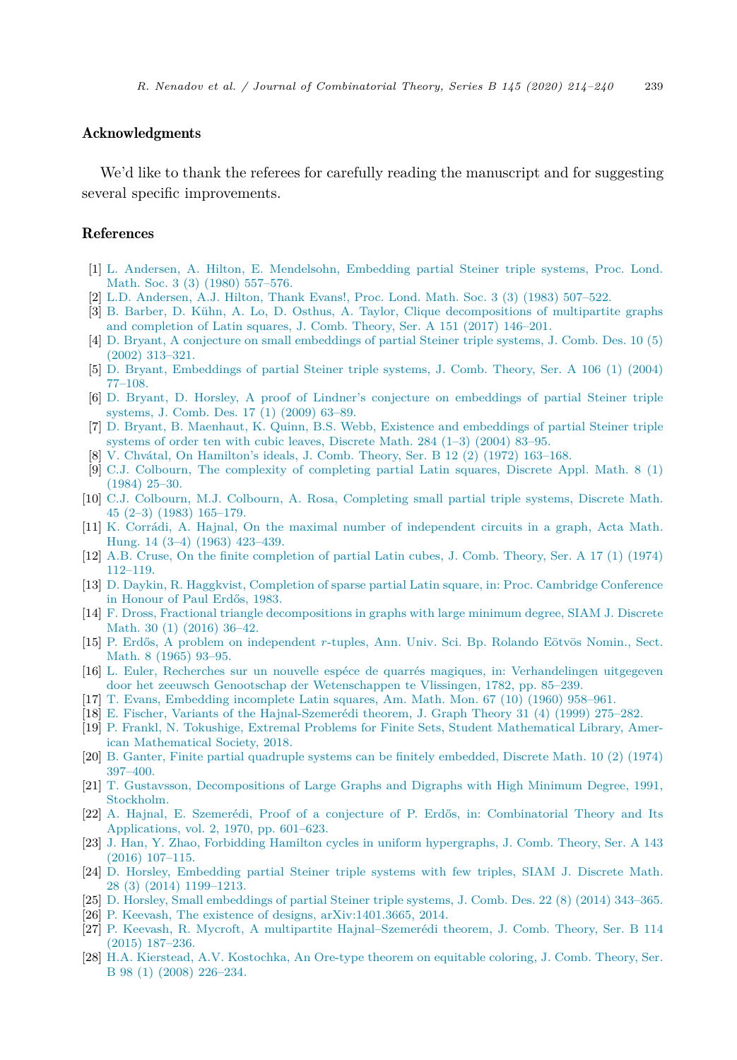# <span id="page-25-0"></span>Acknowledgments

We'd like to thank the referees for carefully reading the manuscript and for suggesting several specific improvements.

# References

- [1] L. Andersen, A. Hilton, E. [Mendelsohn,](http://refhub.elsevier.com/S0095-8956(20)30048-4/bibC8903FADDE7CE25CE7DD84F2EDE270AFs1) Embedding partial Steiner triple systems, Proc. Lond. Math. Soc. 3 (3) (1980) [557–576.](http://refhub.elsevier.com/S0095-8956(20)30048-4/bibC8903FADDE7CE25CE7DD84F2EDE270AFs1)
- [2] L.D. [Andersen,](http://refhub.elsevier.com/S0095-8956(20)30048-4/bib78B94F235A2237FCAD86FB79A374BB47s1) A.J. Hilton, Thank Evans!, Proc. Lond. Math. Soc. 3 (3) (1983) 507–522.
- [3] B. Barber, D. Kühn, A. Lo, D. Osthus, A. Taylor, Clique [decompositions](http://refhub.elsevier.com/S0095-8956(20)30048-4/bibAF2F73A588DCC5696E37514328F2AE76s1) of multipartite graphs and [completion](http://refhub.elsevier.com/S0095-8956(20)30048-4/bibAF2F73A588DCC5696E37514328F2AE76s1) of Latin squares, J. Comb. Theory, Ser. A 151 (2017) 146–201.
- [4] D. Bryant, A conjecture on small [embeddings](http://refhub.elsevier.com/S0095-8956(20)30048-4/bibF56F3F7EEA5D08050247A4CDEEFC4B86s1) of partial Steiner triple systems, J. Comb. Des. 10 (5) (2002) [313–321.](http://refhub.elsevier.com/S0095-8956(20)30048-4/bibF56F3F7EEA5D08050247A4CDEEFC4B86s1)
- [5] D. Bryant, [Embeddings](http://refhub.elsevier.com/S0095-8956(20)30048-4/bib39C92D1C34214172C037722F91EA48A4s1) of partial Steiner triple systems, J. Comb. Theory, Ser. A 106 (1) (2004) [77–108.](http://refhub.elsevier.com/S0095-8956(20)30048-4/bib39C92D1C34214172C037722F91EA48A4s1)
- [6] D. Bryant, D. Horsley, A proof of Lindner's conjecture on [embeddings](http://refhub.elsevier.com/S0095-8956(20)30048-4/bibA0481DF0D13DBA8689A9A453E97B1D5Ds1) of partial Steiner triple [systems,](http://refhub.elsevier.com/S0095-8956(20)30048-4/bibA0481DF0D13DBA8689A9A453E97B1D5Ds1) J. Comb. Des. 17 (1) (2009) 63–89.
- [7] D. Bryant, B. Maenhaut, K. Quinn, B.S. Webb, Existence and [embeddings](http://refhub.elsevier.com/S0095-8956(20)30048-4/bibD311B46B41A75B24FBF73215C227CB57s1) of partial Steiner triple systems of order ten with cubic leaves, Discrete Math. [284 \(1–3\)](http://refhub.elsevier.com/S0095-8956(20)30048-4/bibD311B46B41A75B24FBF73215C227CB57s1) (2004) 83–95.
- [8] V. Chvátal, On [Hamilton's](http://refhub.elsevier.com/S0095-8956(20)30048-4/bib7B1E5D0C5B972F42DC9B7B73F8EBBCB1s1) ideals, J. Comb. Theory, Ser. B 12 (2) (1972) 163–168.
- [9] C.J. Colbourn, The complexity of [completing](http://refhub.elsevier.com/S0095-8956(20)30048-4/bibBBBECC297FE7CB1B82905B57F4733CCCs1) partial Latin squares, Discrete Appl. Math. 8 (1) [\(1984\)](http://refhub.elsevier.com/S0095-8956(20)30048-4/bibBBBECC297FE7CB1B82905B57F4733CCCs1) 25–30.
- [10] C.J. Colbourn, M.J. Colbourn, A. Rosa, [Completing](http://refhub.elsevier.com/S0095-8956(20)30048-4/bibFCA53B71BBF6BA4B439F851D0097BA92s1) small partial triple systems, Discrete Math. 45 (2–3) (1983) [165–179.](http://refhub.elsevier.com/S0095-8956(20)30048-4/bibFCA53B71BBF6BA4B439F851D0097BA92s1)
- [11] K. Corrádi, A. Hajnal, On the maximal number of [independent](http://refhub.elsevier.com/S0095-8956(20)30048-4/bib11628579343F03CDF863AAF5AAE149B2s1) circuits in a graph, Acta Math. Hung. 14 (3–4) (1963) [423–439.](http://refhub.elsevier.com/S0095-8956(20)30048-4/bib11628579343F03CDF863AAF5AAE149B2s1)
- [12] A.B. Cruse, On the finite [completion](http://refhub.elsevier.com/S0095-8956(20)30048-4/bibF3FD944AB16A1907F1351774C582B726s1) of partial Latin cubes, J. Comb. Theory, Ser. A 17 (1) (1974) [112–119.](http://refhub.elsevier.com/S0095-8956(20)30048-4/bibF3FD944AB16A1907F1351774C582B726s1)
- [13] D. Daykin, R. Haggkvist, [Completion](http://refhub.elsevier.com/S0095-8956(20)30048-4/bib6F6BC7FE1574A652FDDF9C0257E8EE23s1) of sparse partial Latin square, in: Proc. Cambridge Conference in [Honour](http://refhub.elsevier.com/S0095-8956(20)30048-4/bib6F6BC7FE1574A652FDDF9C0257E8EE23s1) of Paul Erdős, 1983.
- [14] F. Dross, Fractional triangle [decompositions](http://refhub.elsevier.com/S0095-8956(20)30048-4/bibAF639F2D3BE9BA89F0B4A06326863545s1) in graphs with large minimum degree, SIAM J. Discrete Math. 30 (1) [\(2016\)](http://refhub.elsevier.com/S0095-8956(20)30048-4/bibAF639F2D3BE9BA89F0B4A06326863545s1) 36–42.
- [15] P. Erdős, A problem on [independent](http://refhub.elsevier.com/S0095-8956(20)30048-4/bibAC8BE4AEE61F5F6E21B8C5AFFFB52939s1) *r*-tuples, Ann. Univ. Sci. Bp. Rolando Eötvös Nomin., Sect. Math. 8 [\(1965\)](http://refhub.elsevier.com/S0095-8956(20)30048-4/bibAC8BE4AEE61F5F6E21B8C5AFFFB52939s1) 93–95.
- [16] L. Euler, Recherches sur un nouvelle espéce de quarrés magiques, in: [Verhandelingen](http://refhub.elsevier.com/S0095-8956(20)30048-4/bibBC646BE3146F2CF27FD63A9F687EE7ABs1) uitgegeven door het zeeuwsch Genootschap der [Wetenschappen](http://refhub.elsevier.com/S0095-8956(20)30048-4/bibBC646BE3146F2CF27FD63A9F687EE7ABs1) te Vlissingen, 1782, pp. 85–239.
- [17] T. Evans, [Embedding](http://refhub.elsevier.com/S0095-8956(20)30048-4/bib29549B8791C11D20E7687837A374DF84s1) incomplete Latin squares, Am. Math. Mon. 67 (10) (1960) 958–961.
- [18] E. Fischer, Variants of the [Hajnal-Szemerédi](http://refhub.elsevier.com/S0095-8956(20)30048-4/bib9ADF38BA8D0E5247915DCE9025EAD02Fs1) theorem, J. Graph Theory 31 (4) (1999) 275–282.
- [19] P. Frankl, N. Tokushige, Extremal Problems for Finite Sets, Student [Mathematical](http://refhub.elsevier.com/S0095-8956(20)30048-4/bib42C9087DE17BB79DEBAE8E4275A8ECAFs1) Library, American [Mathematical](http://refhub.elsevier.com/S0095-8956(20)30048-4/bib42C9087DE17BB79DEBAE8E4275A8ECAFs1) Society, 2018.
- [20] B. Ganter, Finite partial quadruple systems can be finitely [embedded,](http://refhub.elsevier.com/S0095-8956(20)30048-4/bib3111A9F385A2CDCDB3121A3A765FDB71s1) Discrete Math. 10 (2) (1974) [397–400.](http://refhub.elsevier.com/S0095-8956(20)30048-4/bib3111A9F385A2CDCDB3121A3A765FDB71s1)
- [21] T. Gustavsson, [Decompositions](http://refhub.elsevier.com/S0095-8956(20)30048-4/bib460A7256C3EF0B3168FD5C8D51D1EE4As1) of Large Graphs and Digraphs with High Minimum Degree, 1991, [Stockholm.](http://refhub.elsevier.com/S0095-8956(20)30048-4/bib460A7256C3EF0B3168FD5C8D51D1EE4As1)
- [22] A. Hajnal, E. Szemerédi, Proof of a conjecture of P. Erdős, in: [Combinatorial](http://refhub.elsevier.com/S0095-8956(20)30048-4/bib79ECF71902FD9917F10E7E9C00B71E92s1) Theory and Its [Applications,](http://refhub.elsevier.com/S0095-8956(20)30048-4/bib79ECF71902FD9917F10E7E9C00B71E92s1) vol. 2, 1970, pp. 601–623.
- [23] J. Han, Y. Zhao, Forbidding Hamilton cycles in uniform [hypergraphs,](http://refhub.elsevier.com/S0095-8956(20)30048-4/bib8376130EB993EFF3C89198375EE54B75s1) J. Comb. Theory, Ser. A 143 (2016) [107–115.](http://refhub.elsevier.com/S0095-8956(20)30048-4/bib8376130EB993EFF3C89198375EE54B75s1)
- [24] D. Horsley, [Embedding](http://refhub.elsevier.com/S0095-8956(20)30048-4/bib637D7595D8EDAC069B2346976C42575Cs1) partial Steiner triple systems with few triples, SIAM J. Discrete Math. 28 (3) (2014) [1199–1213.](http://refhub.elsevier.com/S0095-8956(20)30048-4/bib637D7595D8EDAC069B2346976C42575Cs1)
- [25] D. Horsley, Small [embeddings](http://refhub.elsevier.com/S0095-8956(20)30048-4/bib8788529A7C936ED151132D646A522EAFs1) of partial Steiner triple systems, J. Comb. Des. 22 (8) (2014) 343–365.
- [26] P. Keevash, The existence of designs, [arXiv:1401.3665,](http://refhub.elsevier.com/S0095-8956(20)30048-4/bibBC5DE81908DC75FBD60954113C233982s1) 2014.
- [27] P. Keevash, R. Mycroft, A multipartite [Hajnal–Szemerédi](http://refhub.elsevier.com/S0095-8956(20)30048-4/bibD6412D430EBF233D75E515C596FCA1DBs1) theorem, J. Comb. Theory, Ser. B 114 (2015) [187–236.](http://refhub.elsevier.com/S0095-8956(20)30048-4/bibD6412D430EBF233D75E515C596FCA1DBs1)
- [28] H.A. Kierstead, A.V. [Kostochka,](http://refhub.elsevier.com/S0095-8956(20)30048-4/bibDFC21CB48BD025CCEE947FD4F21D7339s1) An Ore-type theorem on equitable coloring, J. Comb. Theory, Ser. B 98 (1) (2008) [226–234.](http://refhub.elsevier.com/S0095-8956(20)30048-4/bibDFC21CB48BD025CCEE947FD4F21D7339s1)